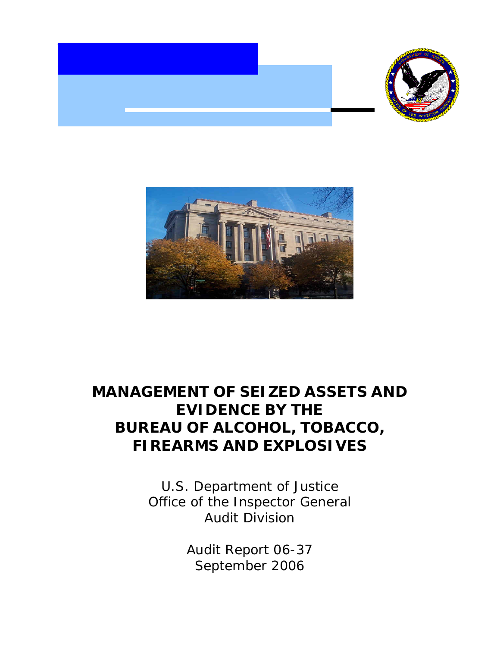



# **MANAGEMENT OF SEIZED ASSETS AND EVIDENCE BY THE BUREAU OF ALCOHOL, TOBACCO, FIREARMS AND EXPLOSIVES**

U.S. Department of Justice Office of the Inspector General Audit Division

> Audit Report 06-37 September 2006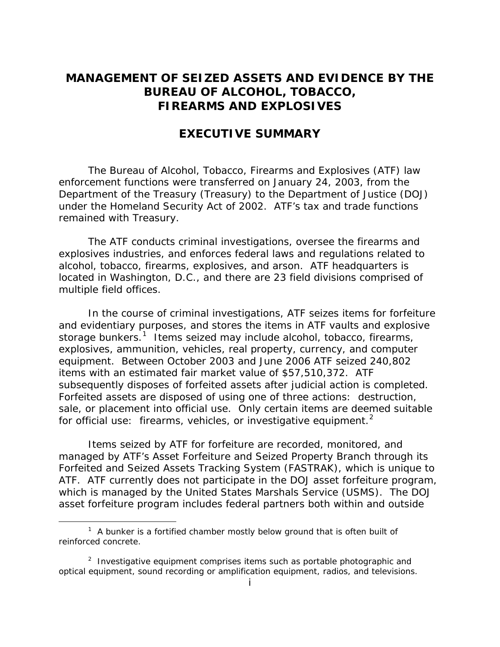# **MANAGEMENT OF SEIZED ASSETS AND EVIDENCE BY THE BUREAU OF ALCOHOL, TOBACCO, FIREARMS AND EXPLOSIVES**

# **EXECUTIVE SUMMARY**

The Bureau of Alcohol, Tobacco, Firearms and Explosives (ATF) law enforcement functions were transferred on January 24, 2003, from the Department of the Treasury (Treasury) to the Department of Justice (DOJ) under the Homeland Security Act of 2002. ATF's tax and trade functions remained with Treasury.

The ATF conducts criminal investigations, oversee the firearms and explosives industries, and enforces federal laws and regulations related to alcohol, tobacco, firearms, explosives, and arson. ATF headquarters is located in Washington, D.C., and there are 23 field divisions comprised of multiple field offices.

In the course of criminal investigations, ATF seizes items for forfeiture and evidentiary purposes, and stores the items in ATF vaults and explosive storage bunkers.<sup>[1](#page-1-0)</sup> Items seized may include alcohol, tobacco, firearms, explosives, ammunition, vehicles, real property, currency, and computer equipment. Between October 2003 and June 2006 ATF seized 240,802 items with an estimated fair market value of \$57,510,372. ATF subsequently disposes of forfeited assets after judicial action is completed. Forfeited assets are disposed of using one of three actions: destruction, sale, or placement into official use. Only certain items are deemed suitable for official use: firearms, vehicles, or investigative equipment.<sup>[2](#page-1-1)</sup>

Items seized by ATF for forfeiture are recorded, monitored, and managed by ATF's Asset Forfeiture and Seized Property Branch through its Forfeited and Seized Assets Tracking System (FASTRAK), which is unique to ATF. ATF currently does not participate in the DOJ asset forfeiture program, which is managed by the United States Marshals Service (USMS). The DOJ asset forfeiture program includes federal partners both within and outside

 $\overline{a}$ 

<span id="page-1-0"></span> $1$  A bunker is a fortified chamber mostly below ground that is often built of reinforced concrete.

<span id="page-1-1"></span><sup>&</sup>lt;sup>2</sup> Investigative equipment comprises items such as portable photographic and optical equipment, sound recording or amplification equipment, radios, and televisions.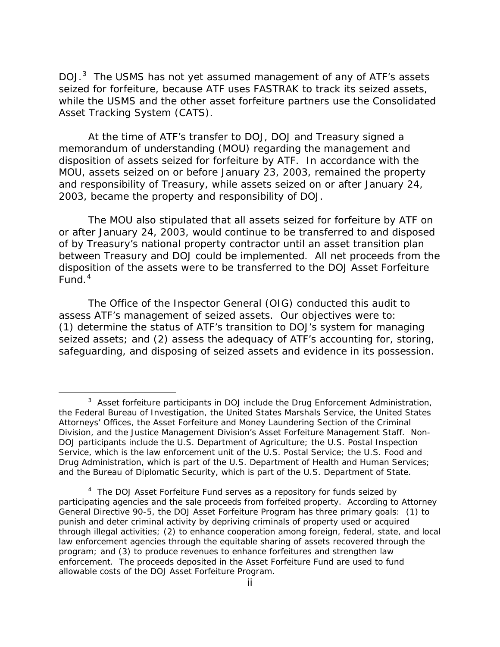DOJ.[3](#page-2-0) The USMS has not yet assumed management of any of ATF's assets seized for forfeiture, because ATF uses FASTRAK to track its seized assets, while the USMS and the other asset forfeiture partners use the Consolidated Asset Tracking System (CATS).

 At the time of ATF's transfer to DOJ, DOJ and Treasury signed a memorandum of understanding (MOU) regarding the management and disposition of assets seized for forfeiture by ATF. In accordance with the MOU, assets seized on or before January 23, 2003, remained the property and responsibility of Treasury, while assets seized on or after January 24, 2003, became the property and responsibility of DOJ.

The MOU also stipulated that all assets seized for forfeiture by ATF on or after January 24, 2003, would continue to be transferred to and disposed of by Treasury's national property contractor until an asset transition plan between Treasury and DOJ could be implemented. All net proceeds from the disposition of the assets were to be transferred to the DOJ Asset Forfeiture Fund. $4$ 

The Office of the Inspector General (OIG) conducted this audit to assess ATF's management of seized assets. Our objectives were to: (1) determine the status of ATF's transition to DOJ's system for managing seized assets; and (2) assess the adequacy of ATF's accounting for, storing, safeguarding, and disposing of seized assets and evidence in its possession.

 $\overline{a}$ 

<span id="page-2-0"></span><sup>&</sup>lt;sup>3</sup> Asset forfeiture participants in DOJ include the Drug Enforcement Administration, the Federal Bureau of Investigation, the United States Marshals Service, the United States Attorneys' Offices, the Asset Forfeiture and Money Laundering Section of the Criminal Division, and the Justice Management Division's Asset Forfeiture Management Staff. Non-DOJ participants include the U.S. Department of Agriculture; the U.S. Postal Inspection Service, which is the law enforcement unit of the U.S. Postal Service; the U.S. Food and Drug Administration, which is part of the U.S. Department of Health and Human Services; and the Bureau of Diplomatic Security, which is part of the U.S. Department of State.

<span id="page-2-1"></span><sup>&</sup>lt;sup>4</sup> The DOJ Asset Forfeiture Fund serves as a repository for funds seized by participating agencies and the sale proceeds from forfeited property. According to Attorney General Directive 90-5, the DOJ Asset Forfeiture Program has three primary goals: (1) to punish and deter criminal activity by depriving criminals of property used or acquired through illegal activities; (2) to enhance cooperation among foreign, federal, state, and local law enforcement agencies through the equitable sharing of assets recovered through the program; and (3) to produce revenues to enhance forfeitures and strengthen law enforcement. The proceeds deposited in the Asset Forfeiture Fund are used to fund allowable costs of the DOJ Asset Forfeiture Program.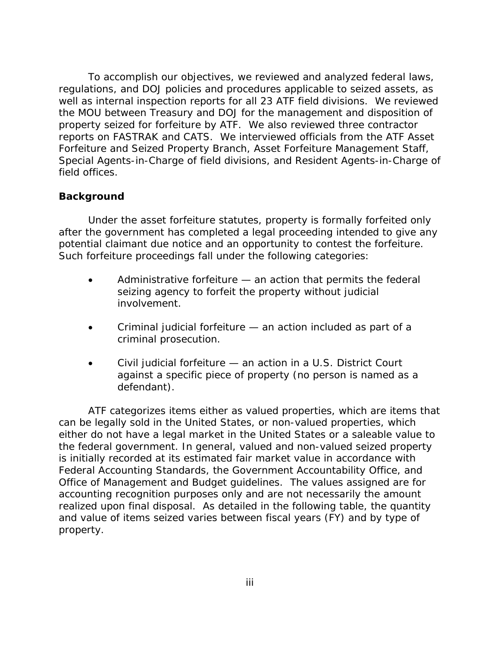To accomplish our objectives, we reviewed and analyzed federal laws, regulations, and DOJ policies and procedures applicable to seized assets, as well as internal inspection reports for all 23 ATF field divisions. We reviewed the MOU between Treasury and DOJ for the management and disposition of property seized for forfeiture by ATF. We also reviewed three contractor reports on FASTRAK and CATS. We interviewed officials from the ATF Asset Forfeiture and Seized Property Branch, Asset Forfeiture Management Staff, Special Agents-in-Charge of field divisions, and Resident Agents-in-Charge of field offices.

### **Background**

Under the asset forfeiture statutes, property is formally forfeited only after the government has completed a legal proceeding intended to give any potential claimant due notice and an opportunity to contest the forfeiture. Such forfeiture proceedings fall under the following categories:

- Administrative forfeiture an action that permits the federal seizing agency to forfeit the property without judicial involvement.
- Criminal judicial forfeiture an action included as part of a criminal prosecution.
- Civil judicial forfeiture an action in a U.S. District Court against a specific piece of property (no person is named as a defendant).

 ATF categorizes items either as valued properties, which are items that can be legally sold in the United States, or non-valued properties, which either do not have a legal market in the United States or a saleable value to the federal government. In general, valued and non-valued seized property is initially recorded at its estimated fair market value in accordance with Federal Accounting Standards, the Government Accountability Office, and Office of Management and Budget guidelines. The values assigned are for accounting recognition purposes only and are not necessarily the amount realized upon final disposal. As detailed in the following table, the quantity and value of items seized varies between fiscal years (FY) and by type of property.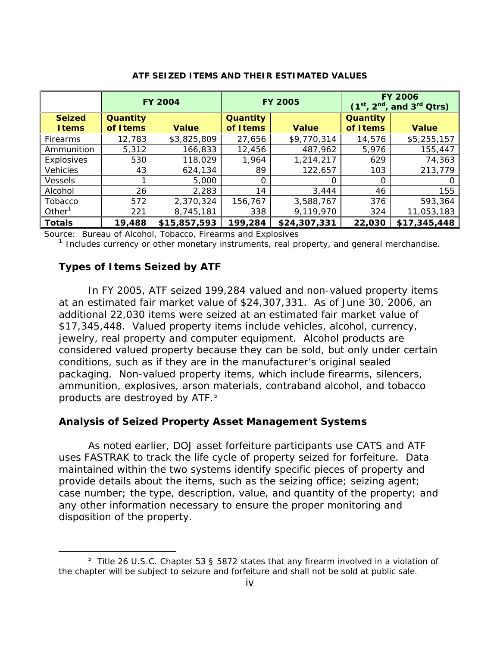|                                |                       | <b>FY 2004</b> |                       | <b>FY 2005</b> | <b>FY 2006</b><br>$(1^{st}, 2^{nd})$<br>, and 3 <sup>rd</sup> Qtrs) |              |
|--------------------------------|-----------------------|----------------|-----------------------|----------------|---------------------------------------------------------------------|--------------|
| <b>Seized</b><br><b>I</b> tems | Quantity<br>of I tems | <b>Value</b>   | Quantity<br>of I tems | <b>Value</b>   | Quantity<br>of I tems                                               | <b>Value</b> |
| <b>Firearms</b>                | 12,783                | \$3,825,809    | 27,656                | \$9,770,314    | 14,576                                                              | \$5,255,157  |
| Ammunition                     | 5,312                 | 166,833        | 12,456                | 487,962        | 5,976                                                               | 155,447      |
| Explosives                     | 530                   | 118,029        | 1,964                 | 1,214,217      | 629                                                                 | 74,363       |
| <b>Vehicles</b>                | 43                    | 624,134        | 89                    | 122,657        | 103                                                                 | 213,779      |
| <b>Vessels</b>                 |                       | 5,000          | 0                     | O              | O                                                                   | 0            |
| Alcohol                        | 26                    | 2,283          | 14                    | 3,444          | 46                                                                  | 155          |
| Tobacco                        | 572                   | 2,370,324      | 156,767               | 3,588,767      | 376                                                                 | 593,364      |
| Other $1$                      | 221                   | 8,745,181      | 338                   | 9,119,970      | 324                                                                 | 11,053,183   |
| <b>Totals</b>                  | 19,488                | \$15,857,593   | 199,284               | \$24,307,331   | 22,030                                                              | \$17,345,448 |

#### **ATF SEIZED ITEMS AND THEIR ESTIMATED VALUES**

Source: Bureau of Alcohol, Tobacco, Firearms and Explosives

 $<sup>1</sup>$  Includes currency or other monetary instruments, real property, and general merchandise.</sup>

#### **Types of Items Seized by ATF**

In FY 2005, ATF seized 199,284 valued and non-valued property items at an estimated fair market value of \$24,307,331. As of June 30, 2006, an additional 22,030 items were seized at an estimated fair market value of \$17,345,448. Valued property items include vehicles, alcohol, currency, jewelry, real property and computer equipment. Alcohol products are considered valued property because they can be sold, but only under certain conditions, such as if they are in the manufacturer's original sealed packaging. Non-valued property items, which include firearms, silencers, ammunition, explosives, arson materials, contraband alcohol, and tobacco products are destroyed by ATF.<sup>[5](#page-4-0)</sup>

#### **Analysis of Seized Property Asset Management Systems**

As noted earlier, DOJ asset forfeiture participants use CATS and ATF uses FASTRAK to track the life cycle of property seized for forfeiture. Data maintained within the two systems identify specific pieces of property and provide details about the items, such as the seizing office; seizing agent; case number; the type, description, value, and quantity of the property; and any other information necessary to ensure the proper monitoring and disposition of the property.

<span id="page-4-0"></span> $\frac{1}{5}$ <sup>5</sup> Title 26 U.S.C. Chapter 53 § 5872 states that any firearm involved in a violation of the chapter will be subject to seizure and forfeiture and shall not be sold at public sale.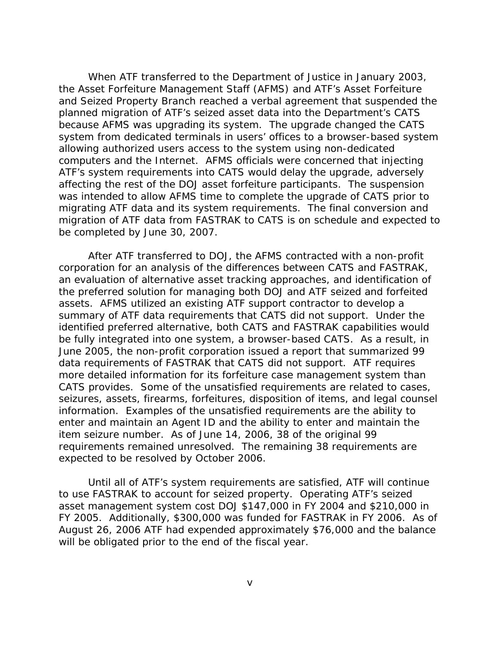When ATF transferred to the Department of Justice in January 2003, the Asset Forfeiture Management Staff (AFMS) and ATF's Asset Forfeiture and Seized Property Branch reached a verbal agreement that suspended the planned migration of ATF's seized asset data into the Department's CATS because AFMS was upgrading its system. The upgrade changed the CATS system from dedicated terminals in users' offices to a browser-based system allowing authorized users access to the system using non-dedicated computers and the Internet. AFMS officials were concerned that injecting ATF's system requirements into CATS would delay the upgrade, adversely affecting the rest of the DOJ asset forfeiture participants. The suspension was intended to allow AFMS time to complete the upgrade of CATS prior to migrating ATF data and its system requirements. The final conversion and migration of ATF data from FASTRAK to CATS is on schedule and expected to be completed by June 30, 2007.

 After ATF transferred to DOJ, the AFMS contracted with a non-profit corporation for an analysis of the differences between CATS and FASTRAK, an evaluation of alternative asset tracking approaches, and identification of the preferred solution for managing both DOJ and ATF seized and forfeited assets. AFMS utilized an existing ATF support contractor to develop a summary of ATF data requirements that CATS did not support. Under the identified preferred alternative, both CATS and FASTRAK capabilities would be fully integrated into one system, a browser-based CATS. As a result, in June 2005, the non-profit corporation issued a report that summarized 99 data requirements of FASTRAK that CATS did not support. ATF requires more detailed information for its forfeiture case management system than CATS provides. Some of the unsatisfied requirements are related to cases, seizures, assets, firearms, forfeitures, disposition of items, and legal counsel information. Examples of the unsatisfied requirements are the ability to enter and maintain an Agent ID and the ability to enter and maintain the item seizure number. As of June 14, 2006, 38 of the original 99 requirements remained unresolved. The remaining 38 requirements are expected to be resolved by October 2006.

 Until all of ATF's system requirements are satisfied, ATF will continue to use FASTRAK to account for seized property. Operating ATF's seized asset management system cost DOJ \$147,000 in FY 2004 and \$210,000 in FY 2005. Additionally, \$300,000 was funded for FASTRAK in FY 2006. As of August 26, 2006 ATF had expended approximately \$76,000 and the balance will be obligated prior to the end of the fiscal year.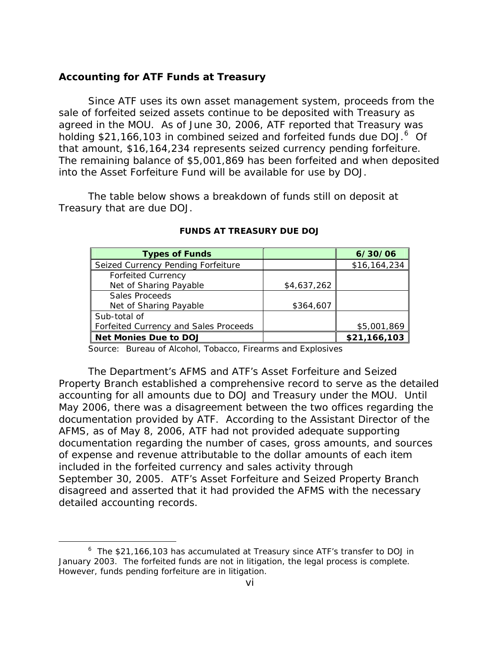#### **Accounting for ATF Funds at Treasury**

Since ATF uses its own asset management system, proceeds from the sale of forfeited seized assets continue to be deposited with Treasury as agreed in the MOU. As of June 30, 2006, ATF reported that Treasury was holding \$21,1[6](#page-6-0)6,103 in combined seized and forfeited funds due DOJ.<sup>6</sup> Of that amount, \$16,164,234 represents seized currency pending forfeiture. The remaining balance of \$5,001,869 has been forfeited and when deposited into the Asset Forfeiture Fund will be available for use by DOJ.

The table below shows a breakdown of funds still on deposit at Treasury that are due DOJ.

| <b>Types of Funds</b>                 |             | 6/30/06      |
|---------------------------------------|-------------|--------------|
| Seized Currency Pending Forfeiture    |             | \$16,164,234 |
| <b>Forfeited Currency</b>             |             |              |
| Net of Sharing Payable                | \$4,637,262 |              |
| Sales Proceeds                        |             |              |
| Net of Sharing Payable                | \$364,607   |              |
| Sub-total of                          |             |              |
| Forfeited Currency and Sales Proceeds |             | \$5,001,869  |
| Net Monies Due to DOJ                 |             | \$21,166,103 |

#### **FUNDS AT TREASURY DUE DOJ**

Source: Bureau of Alcohol, Tobacco, Firearms and Explosives

The Department's AFMS and ATF's Asset Forfeiture and Seized Property Branch established a comprehensive record to serve as the detailed accounting for all amounts due to DOJ and Treasury under the MOU. Until May 2006, there was a disagreement between the two offices regarding the documentation provided by ATF. According to the Assistant Director of the AFMS, as of May 8, 2006, ATF had not provided adequate supporting documentation regarding the number of cases, gross amounts, and sources of expense and revenue attributable to the dollar amounts of each item included in the forfeited currency and sales activity through September 30, 2005. ATF's Asset Forfeiture and Seized Property Branch disagreed and asserted that it had provided the AFMS with the necessary detailed accounting records.

<span id="page-6-0"></span> $\overline{\phantom{a}}$  $6$  The \$21,166,103 has accumulated at Treasury since ATF's transfer to DOJ in January 2003. The forfeited funds are not in litigation, the legal process is complete. However, funds pending forfeiture are in litigation.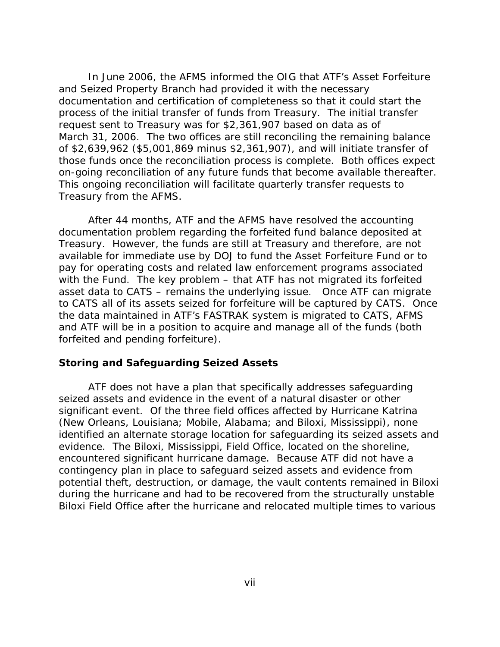In June 2006, the AFMS informed the OIG that ATF's Asset Forfeiture and Seized Property Branch had provided it with the necessary documentation and certification of completeness so that it could start the process of the initial transfer of funds from Treasury. The initial transfer request sent to Treasury was for \$2,361,907 based on data as of March 31, 2006. The two offices are still reconciling the remaining balance of \$2,639,962 (\$5,001,869 minus \$2,361,907), and will initiate transfer of those funds once the reconciliation process is complete. Both offices expect on-going reconciliation of any future funds that become available thereafter. This ongoing reconciliation will facilitate quarterly transfer requests to Treasury from the AFMS.

After 44 months, ATF and the AFMS have resolved the accounting documentation problem regarding the forfeited fund balance deposited at Treasury. However, the funds are still at Treasury and therefore, are not available for immediate use by DOJ to fund the Asset Forfeiture Fund or to pay for operating costs and related law enforcement programs associated with the Fund. The key problem – that ATF has not migrated its forfeited asset data to CATS – remains the underlying issue. Once ATF can migrate to CATS all of its assets seized for forfeiture will be captured by CATS. Once the data maintained in ATF's FASTRAK system is migrated to CATS, AFMS and ATF will be in a position to acquire and manage all of the funds (both forfeited and pending forfeiture).

#### **Storing and Safeguarding Seized Assets**

ATF does not have a plan that specifically addresses safeguarding seized assets and evidence in the event of a natural disaster or other significant event. Of the three field offices affected by Hurricane Katrina (New Orleans, Louisiana; Mobile, Alabama; and Biloxi, Mississippi), none identified an alternate storage location for safeguarding its seized assets and evidence. The Biloxi, Mississippi, Field Office, located on the shoreline, encountered significant hurricane damage. Because ATF did not have a contingency plan in place to safeguard seized assets and evidence from potential theft, destruction, or damage, the vault contents remained in Biloxi during the hurricane and had to be recovered from the structurally unstable Biloxi Field Office after the hurricane and relocated multiple times to various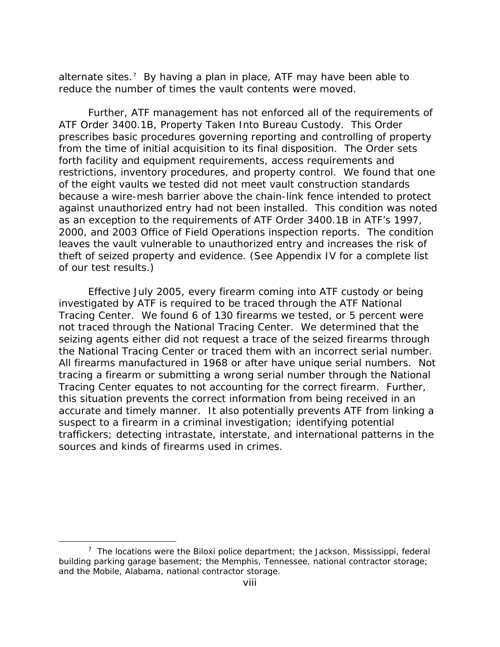alternate sites.<sup>[7](#page-8-0)</sup> By having a plan in place, ATF may have been able to reduce the number of times the vault contents were moved.

Further, ATF management has not enforced all of the requirements of ATF Order 3400.1B, *Property Taken Into Bureau Custody*. This Order prescribes basic procedures governing reporting and controlling of property from the time of initial acquisition to its final disposition. The Order sets forth facility and equipment requirements, access requirements and restrictions, inventory procedures, and property control. We found that one of the eight vaults we tested did not meet vault construction standards because a wire-mesh barrier above the chain-link fence intended to protect against unauthorized entry had not been installed. This condition was noted as an exception to the requirements of ATF Order 3400.1B in ATF's 1997, 2000, and 2003 Office of Field Operations inspection reports. The condition leaves the vault vulnerable to unauthorized entry and increases the risk of theft of seized property and evidence. (See Appendix IV for a complete list of our test results.)

Effective July 2005, every firearm coming into ATF custody or being investigated by ATF is required to be traced through the ATF National Tracing Center. We found 6 of 130 firearms we tested, or 5 percent were not traced through the National Tracing Center. We determined that the seizing agents either did not request a trace of the seized firearms through the National Tracing Center or traced them with an incorrect serial number. All firearms manufactured in 1968 or after have unique serial numbers. Not tracing a firearm or submitting a wrong serial number through the National Tracing Center equates to not accounting for the correct firearm. Further, this situation prevents the correct information from being received in an accurate and timely manner. It also potentially prevents ATF from linking a suspect to a firearm in a criminal investigation; identifying potential traffickers; detecting intrastate, interstate, and international patterns in the sources and kinds of firearms used in crimes.

 $\overline{a}$ 

<span id="page-8-0"></span> $7$  The locations were the Biloxi police department; the Jackson, Mississippi, federal building parking garage basement; the Memphis, Tennessee, national contractor storage; and the Mobile, Alabama, national contractor storage.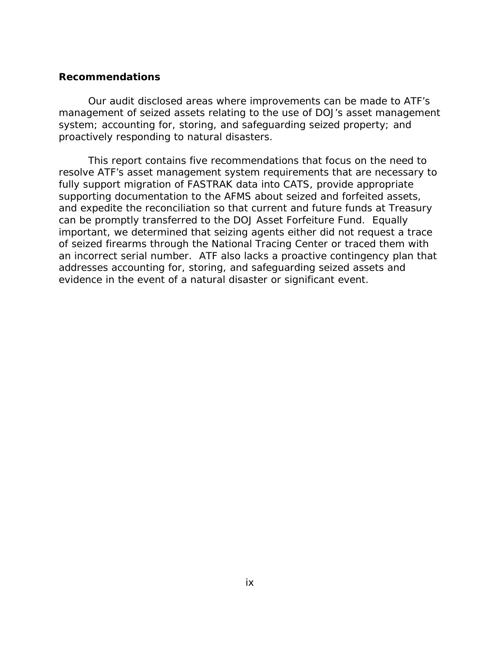#### **Recommendations**

Our audit disclosed areas where improvements can be made to ATF's management of seized assets relating to the use of DOJ's asset management system; accounting for, storing, and safeguarding seized property; and proactively responding to natural disasters.

This report contains five recommendations that focus on the need to resolve ATF's asset management system requirements that are necessary to fully support migration of FASTRAK data into CATS, provide appropriate supporting documentation to the AFMS about seized and forfeited assets, and expedite the reconciliation so that current and future funds at Treasury can be promptly transferred to the DOJ Asset Forfeiture Fund. Equally important, we determined that seizing agents either did not request a trace of seized firearms through the National Tracing Center or traced them with an incorrect serial number. ATF also lacks a proactive contingency plan that addresses accounting for, storing, and safeguarding seized assets and evidence in the event of a natural disaster or significant event.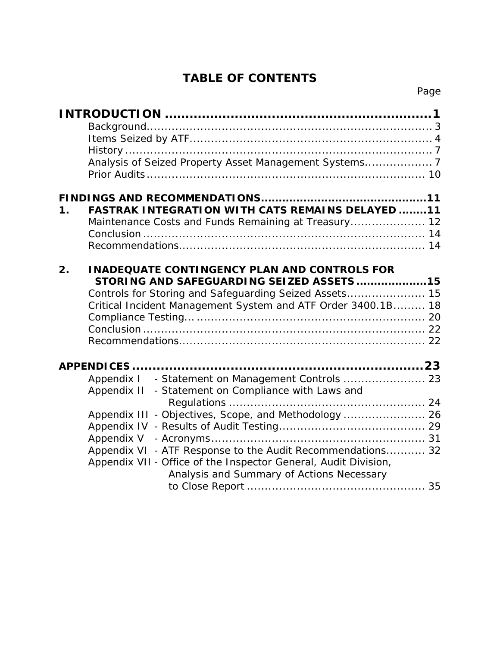# **TABLE OF CONTENTS**

| $\mathbf 1$ . | <b>FASTRAK INTEGRATION WITH CATS REMAINS DELAYED 11</b><br>Maintenance Costs and Funds Remaining at Treasury 12                                                                                                                                                                                          |  |
|---------------|----------------------------------------------------------------------------------------------------------------------------------------------------------------------------------------------------------------------------------------------------------------------------------------------------------|--|
| 2.            | <b>INADEQUATE CONTINGENCY PLAN AND CONTROLS FOR</b><br>STORING AND SAFEGUARDING SEIZED ASSETS15<br>Controls for Storing and Safeguarding Seized Assets 15<br>Critical Incident Management System and ATF Order 3400.1B 18                                                                                |  |
|               | Appendix II - Statement on Compliance with Laws and<br>Appendix III - Objectives, Scope, and Methodology  26<br>Appendix V<br>Appendix VI - ATF Response to the Audit Recommendations 32<br>Appendix VII - Office of the Inspector General, Audit Division,<br>Analysis and Summary of Actions Necessary |  |
|               |                                                                                                                                                                                                                                                                                                          |  |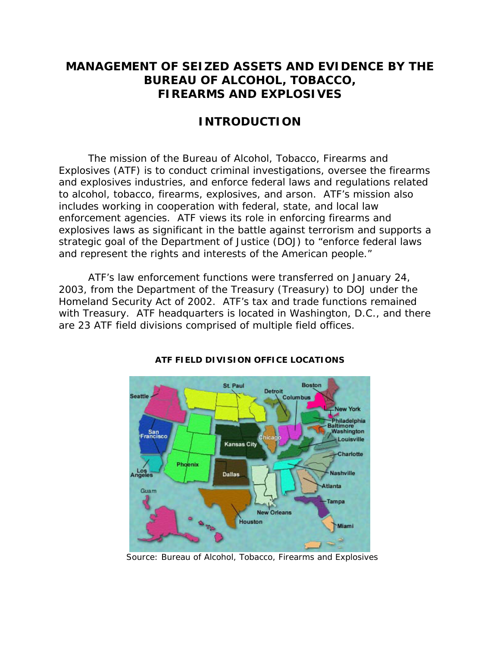# <span id="page-11-0"></span>**MANAGEMENT OF SEIZED ASSETS AND EVIDENCE BY THE BUREAU OF ALCOHOL, TOBACCO, FIREARMS AND EXPLOSIVES**

# **INTRODUCTION**

The mission of the Bureau of Alcohol, Tobacco, Firearms and Explosives (ATF) is to conduct criminal investigations, oversee the firearms and explosives industries, and enforce federal laws and regulations related to alcohol, tobacco, firearms, explosives, and arson. ATF's mission also includes working in cooperation with federal, state, and local law enforcement agencies. ATF views its role in enforcing firearms and explosives laws as significant in the battle against terrorism and supports a strategic goal of the Department of Justice (DOJ) to "enforce federal laws and represent the rights and interests of the American people."

ATF's law enforcement functions were transferred on January 24, 2003, from the Department of the Treasury (Treasury) to DOJ under the Homeland Security Act of 2002. ATF's tax and trade functions remained with Treasury. ATF headquarters is located in Washington, D.C., and there are 23 ATF field divisions comprised of multiple field offices.



### **ATF FIELD DIVISION OFFICE LOCATIONS**

Source: Bureau of Alcohol, Tobacco, Firearms and Explosives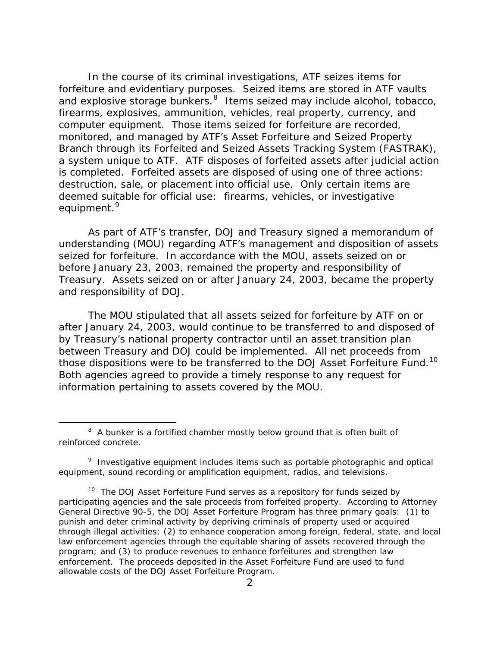In the course of its criminal investigations, ATF seizes items for forfeiture and evidentiary purposes. Seized items are stored in ATF vaults and explosive storage bunkers. $8$  Items seized may include alcohol, tobacco, firearms, explosives, ammunition, vehicles, real property, currency, and computer equipment. Those items seized for forfeiture are recorded, monitored, and managed by ATF's Asset Forfeiture and Seized Property Branch through its Forfeited and Seized Assets Tracking System (FASTRAK), a system unique to ATF. ATF disposes of forfeited assets after judicial action is completed. Forfeited assets are disposed of using one of three actions: destruction, sale, or placement into official use. Only certain items are deemed suitable for official use: firearms, vehicles, or investigative equipment.<sup>[9](#page-12-1)</sup>

As part of ATF's transfer, DOJ and Treasury signed a memorandum of understanding (MOU) regarding ATF's management and disposition of assets seized for forfeiture. In accordance with the MOU, assets seized on or before January 23, 2003, remained the property and responsibility of Treasury. Assets seized on or after January 24, 2003, became the property and responsibility of DOJ.

The MOU stipulated that all assets seized for forfeiture by ATF on or after January 24, 2003, would continue to be transferred to and disposed of by Treasury's national property contractor until an asset transition plan between Treasury and DOJ could be implemented. All net proceeds from those dispositions were to be transferred to the DOJ Asset Forfeiture Fund.<sup>[10](#page-12-2)</sup> Both agencies agreed to provide a timely response to any request for information pertaining to assets covered by the MOU.

 $\overline{a}$ 

<span id="page-12-0"></span> $8<sup>8</sup>$  A bunker is a fortified chamber mostly below ground that is often built of reinforced concrete.

<span id="page-12-1"></span><sup>&</sup>lt;sup>9</sup> Investigative equipment includes items such as portable photographic and optical equipment, sound recording or amplification equipment, radios, and televisions.

<span id="page-12-2"></span> $10$  The DOJ Asset Forfeiture Fund serves as a repository for funds seized by participating agencies and the sale proceeds from forfeited property. According to Attorney General Directive 90-5, the DOJ Asset Forfeiture Program has three primary goals: (1) to punish and deter criminal activity by depriving criminals of property used or acquired through illegal activities; (2) to enhance cooperation among foreign, federal, state, and local law enforcement agencies through the equitable sharing of assets recovered through the program; and (3) to produce revenues to enhance forfeitures and strengthen law enforcement. The proceeds deposited in the Asset Forfeiture Fund are used to fund allowable costs of the DOJ Asset Forfeiture Program.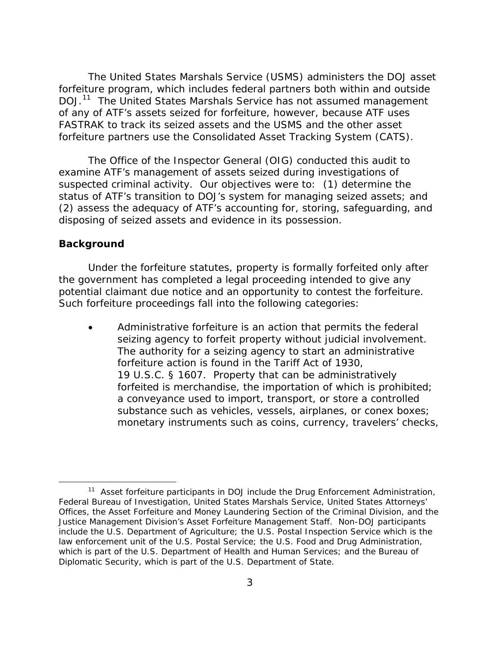<span id="page-13-0"></span> The United States Marshals Service (USMS) administers the DOJ asset forfeiture program, which includes federal partners both within and outside DOJ.<sup>[11](#page-13-1)</sup> The United States Marshals Service has not assumed management of any of ATF's assets seized for forfeiture, however, because ATF uses FASTRAK to track its seized assets and the USMS and the other asset forfeiture partners use the Consolidated Asset Tracking System (CATS).

The Office of the Inspector General (OIG) conducted this audit to examine ATF's management of assets seized during investigations of suspected criminal activity. Our objectives were to: (1) determine the status of ATF's transition to DOJ's system for managing seized assets; and (2) assess the adequacy of ATF's accounting for, storing, safeguarding, and disposing of seized assets and evidence in its possession.

#### **Background**

 $\overline{a}$ 

Under the forfeiture statutes, property is formally forfeited only after the government has completed a legal proceeding intended to give any potential claimant due notice and an opportunity to contest the forfeiture. Such forfeiture proceedings fall into the following categories:

Administrative forfeiture is an action that permits the federal seizing agency to forfeit property without judicial involvement. The authority for a seizing agency to start an administrative forfeiture action is found in the Tariff Act of 1930, 19 U.S.C. § 1607. Property that can be administratively forfeited is merchandise, the importation of which is prohibited; a conveyance used to import, transport, or store a controlled substance such as vehicles, vessels, airplanes, or conex boxes; monetary instruments such as coins, currency, travelers' checks,

<span id="page-13-1"></span><sup>&</sup>lt;sup>11</sup> Asset forfeiture participants in DOJ include the Drug Enforcement Administration, Federal Bureau of Investigation, United States Marshals Service, United States Attorneys' Offices, the Asset Forfeiture and Money Laundering Section of the Criminal Division, and the Justice Management Division's Asset Forfeiture Management Staff. Non-DOJ participants include the U.S. Department of Agriculture; the U.S. Postal Inspection Service which is the law enforcement unit of the U.S. Postal Service; the U.S. Food and Drug Administration, which is part of the U.S. Department of Health and Human Services; and the Bureau of Diplomatic Security, which is part of the U.S. Department of State.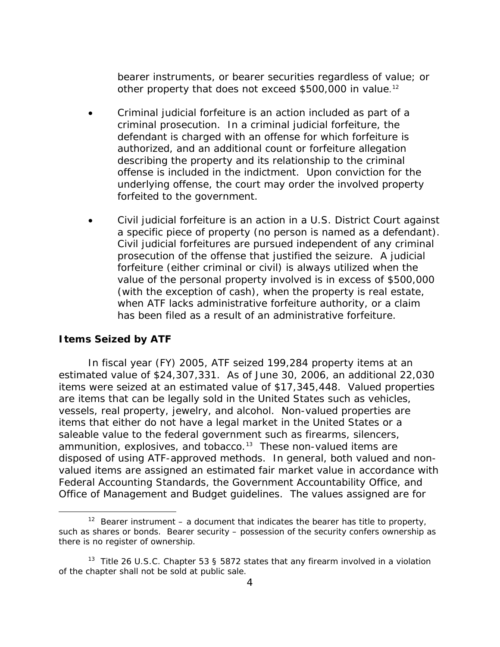<span id="page-14-0"></span>bearer instruments, or bearer securities regardless of value; or other property that does not exceed \$500,000 in value.<sup>[12](#page-14-1)</sup>

- Criminal judicial forfeiture is an action included as part of a criminal prosecution. In a criminal judicial forfeiture, the defendant is charged with an offense for which forfeiture is authorized, and an additional count or forfeiture allegation describing the property and its relationship to the criminal offense is included in the indictment. Upon conviction for the underlying offense, the court may order the involved property forfeited to the government.
- Civil judicial forfeiture is an action in a U.S. District Court against a specific piece of property (no person is named as a defendant). Civil judicial forfeitures are pursued independent of any criminal prosecution of the offense that justified the seizure. A judicial forfeiture (either criminal or civil) is always utilized when the value of the personal property involved is in excess of \$500,000 (with the exception of cash), when the property is real estate, when ATF lacks administrative forfeiture authority, or a claim has been filed as a result of an administrative forfeiture.

### **Items Seized by ATF**

 $\overline{a}$ 

 In fiscal year (FY) 2005, ATF seized 199,284 property items at an estimated value of \$24,307,331. As of June 30, 2006, an additional 22,030 items were seized at an estimated value of \$17,345,448. Valued properties are items that can be legally sold in the United States such as vehicles, vessels, real property, jewelry, and alcohol. Non-valued properties are items that either do not have a legal market in the United States or a saleable value to the federal government such as firearms, silencers, ammunition, explosives, and tobacco.<sup>[13](#page-14-2)</sup> These non-valued items are disposed of using ATF-approved methods. In general, both valued and nonvalued items are assigned an estimated fair market value in accordance with Federal Accounting Standards, the Government Accountability Office, and Office of Management and Budget guidelines. The values assigned are for

<span id="page-14-1"></span><sup>&</sup>lt;sup>12</sup> Bearer instrument – a document that indicates the bearer has title to property, such as shares or bonds. Bearer security – possession of the security confers ownership as there is no register of ownership.

<span id="page-14-2"></span><sup>&</sup>lt;sup>13</sup> Title 26 U.S.C. Chapter 53 § 5872 states that any firearm involved in a violation of the chapter shall not be sold at public sale.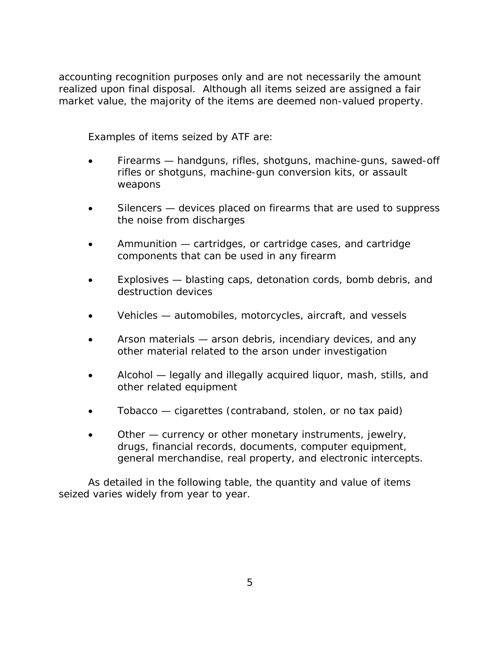accounting recognition purposes only and are not necessarily the amount realized upon final disposal. Although all items seized are assigned a fair market value, the majority of the items are deemed non-valued property.

Examples of items seized by ATF are:

- Firearms handguns, rifles, shotguns, machine-guns, sawed-off rifles or shotguns, machine-gun conversion kits, or assault weapons
- Silencers devices placed on firearms that are used to suppress the noise from discharges
- Ammunition cartridges, or cartridge cases, and cartridge components that can be used in any firearm
- Explosives blasting caps, detonation cords, bomb debris, and destruction devices
- Vehicles automobiles, motorcycles, aircraft, and vessels
- Arson materials arson debris, incendiary devices, and any other material related to the arson under investigation
- Alcohol legally and illegally acquired liquor, mash, stills, and other related equipment
- Tobacco cigarettes (contraband, stolen, or no tax paid)
- Other currency or other monetary instruments, jewelry, drugs, financial records, documents, computer equipment, general merchandise, real property, and electronic intercepts.

As detailed in the following table, the quantity and value of items seized varies widely from year to year.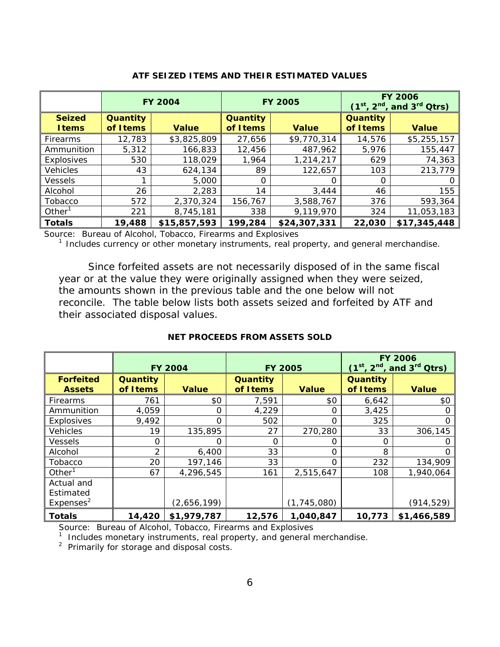|                                |                       | <b>FY 2004</b> | <b>FY 2005</b>        |              | <b>FY 2006</b><br>$(1st, 2nd, and 3rd Qtrs)$ |              |
|--------------------------------|-----------------------|----------------|-----------------------|--------------|----------------------------------------------|--------------|
| <b>Seized</b><br><b>I</b> tems | Quantity<br>of I tems | <b>Value</b>   | Quantity<br>of I tems | <b>Value</b> | Quantity<br>of I tems                        | <b>Value</b> |
| Firearms                       | 12,783                | \$3,825,809    | 27,656                | \$9,770,314  | 14,576                                       | \$5,255,157  |
| Ammunition                     | 5,312                 | 166,833        | 12,456                | 487,962      | 5,976                                        | 155,447      |
| Explosives                     | 530                   | 118,029        | 1,964                 | 1,214,217    | 629                                          | 74,363       |
| <b>Vehicles</b>                | 43                    | 624,134        | 89                    | 122,657      | 103                                          | 213,779      |
| <b>Vessels</b>                 |                       | 5,000          | 0                     | O            | O                                            |              |
| Alcohol                        | 26                    | 2,283          | 14                    | 3,444        | 46                                           | 155          |
| Tobacco                        | 572                   | 2,370,324      | 156.767               | 3,588,767    | 376                                          | 593,364      |
| Other <sup>1</sup>             | 221                   | 8,745,181      | 338                   | 9,119,970    | 324                                          | 11,053,183   |
| <b>Totals</b>                  | 19,488                | \$15,857,593   | 199,284               | \$24,307,331 | 22,030                                       | \$17,345,448 |

#### **ATF SEIZED ITEMS AND THEIR ESTIMATED VALUES**

Source: Bureau of Alcohol, Tobacco, Firearms and Explosives

 $1$  Includes currency or other monetary instruments, real property, and general merchandise.

Since forfeited assets are not necessarily disposed of in the same fiscal year or at the value they were originally assigned when they were seized, the amounts shown in the previous table and the one below will not reconcile. The table below lists both assets seized and forfeited by ATF and their associated disposal values.

#### **NET PROCEEDS FROM ASSETS SOLD**

|                                                  | <b>FY 2004</b>        |              | <b>FY 2005</b>        |               | <b>FY 2006</b><br>$(1st, 2nd, and 3rd Qtrs)$ |                  |
|--------------------------------------------------|-----------------------|--------------|-----------------------|---------------|----------------------------------------------|------------------|
| <b>Forfeited</b><br><b>Assets</b>                | Quantity<br>of I tems | <b>Value</b> | Quantity<br>of I tems | <b>Value</b>  | Quantity<br>of I tems                        | <b>Value</b>     |
| <b>Firearms</b>                                  | 761                   | \$0          | 7,591                 | \$0           | 6,642                                        | \$0              |
| Ammunition                                       | 4,059                 | 0            | 4,229                 | $\Omega$      | 3,425                                        |                  |
| Explosives                                       | 9,492                 | $\Omega$     | 502                   | $\Omega$      | 325                                          |                  |
| <b>Vehicles</b>                                  | 19                    | 135,895      | 27                    | 270,280       | 33                                           | 306,145          |
| <b>Vessels</b>                                   | 0                     | Ω            | $\Omega$              | O             | O                                            |                  |
| Alcohol                                          | 2                     | 6,400        | 33                    | $\Omega$      | 8                                            | $\left( \right)$ |
| Tobacco                                          | 20                    | 197,146      | 33                    | Ω             | 232                                          | 134,909          |
| Other $1$                                        | 67                    | 4,296,545    | 161                   | 2,515,647     | 108                                          | 1,940,064        |
| Actual and<br>Estimated<br>Expenses <sup>2</sup> |                       | (2,656,199)  |                       | (1, 745, 080) |                                              | (914,529)        |
| <b>Totals</b>                                    | 14,420                | \$1,979,787  | 12,576                | 1,040,847     | 10,773                                       | \$1,466,589      |

Source: Bureau of Alcohol, Tobacco, Firearms and Explosives

<sup>1</sup> Includes monetary instruments, real property, and general merchandise.

<sup>2</sup> Primarily for storage and disposal costs.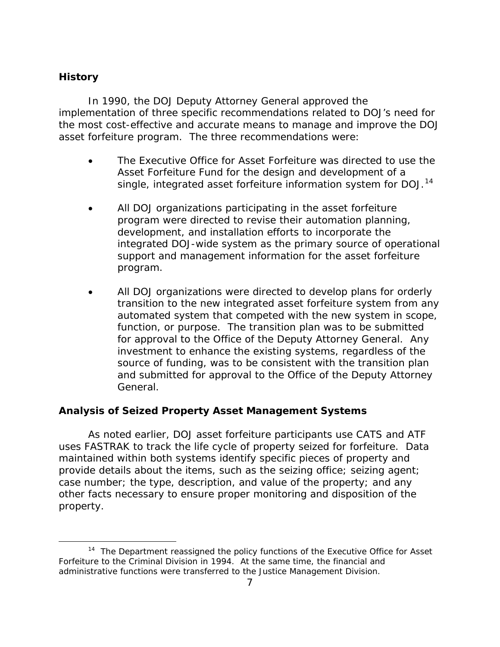# <span id="page-17-0"></span>**History**

 $\overline{a}$ 

In 1990, the DOJ Deputy Attorney General approved the implementation of three specific recommendations related to DOJ's need for the most cost-effective and accurate means to manage and improve the DOJ asset forfeiture program. The three recommendations were:

- The Executive Office for Asset Forfeiture was directed to use the Asset Forfeiture Fund for the design and development of a single, integrated asset forfeiture information system for DOJ.<sup>[14](#page-17-1)</sup>
- All DOJ organizations participating in the asset forfeiture program were directed to revise their automation planning, development, and installation efforts to incorporate the integrated DOJ-wide system as the primary source of operational support and management information for the asset forfeiture program.
- All DOJ organizations were directed to develop plans for orderly transition to the new integrated asset forfeiture system from any automated system that competed with the new system in scope, function, or purpose. The transition plan was to be submitted for approval to the Office of the Deputy Attorney General. Any investment to enhance the existing systems, regardless of the source of funding, was to be consistent with the transition plan and submitted for approval to the Office of the Deputy Attorney General.

### **Analysis of Seized Property Asset Management Systems**

As noted earlier, DOJ asset forfeiture participants use CATS and ATF uses FASTRAK to track the life cycle of property seized for forfeiture. Data maintained within both systems identify specific pieces of property and provide details about the items, such as the seizing office; seizing agent; case number; the type, description, and value of the property; and any other facts necessary to ensure proper monitoring and disposition of the property.

<span id="page-17-1"></span><sup>&</sup>lt;sup>14</sup> The Department reassigned the policy functions of the Executive Office for Asset Forfeiture to the Criminal Division in 1994. At the same time, the financial and administrative functions were transferred to the Justice Management Division.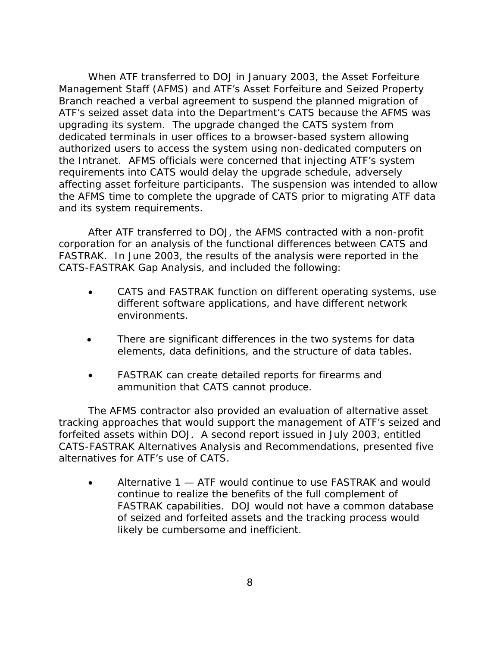When ATF transferred to DOJ in January 2003, the Asset Forfeiture Management Staff (AFMS) and ATF's Asset Forfeiture and Seized Property Branch reached a verbal agreement to suspend the planned migration of ATF's seized asset data into the Department's CATS because the AFMS was upgrading its system. The upgrade changed the CATS system from dedicated terminals in user offices to a browser-based system allowing authorized users to access the system using non-dedicated computers on the Intranet. AFMS officials were concerned that injecting ATF's system requirements into CATS would delay the upgrade schedule, adversely affecting asset forfeiture participants. The suspension was intended to allow the AFMS time to complete the upgrade of CATS prior to migrating ATF data and its system requirements.

After ATF transferred to DOJ, the AFMS contracted with a non-profit corporation for an analysis of the functional differences between CATS and FASTRAK. In June 2003, the results of the analysis were reported in the *CATS-FASTRAK Gap Analysis,* and included the following:

- CATS and FASTRAK function on different operating systems, use different software applications, and have different network environments.
- There are significant differences in the two systems for data elements, data definitions, and the structure of data tables.
- FASTRAK can create detailed reports for firearms and ammunition that CATS cannot produce.

The AFMS contractor also provided an evaluation of alternative asset tracking approaches that would support the management of ATF's seized and forfeited assets within DOJ. A second report issued in July 2003, entitled *CATS-FASTRAK Alternatives Analysis and Recommendations*, presented five alternatives for ATF's use of CATS.

• Alternative 1 — ATF would continue to use FASTRAK and would continue to realize the benefits of the full complement of FASTRAK capabilities. DOJ would not have a common database of seized and forfeited assets and the tracking process would likely be cumbersome and inefficient.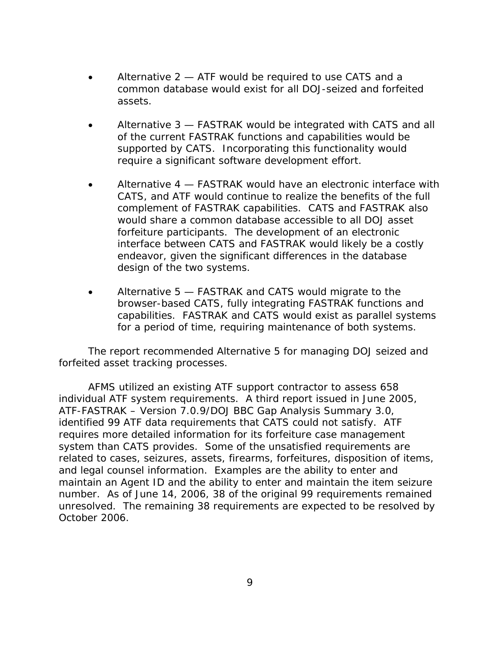- Alternative 2 ATF would be required to use CATS and a common database would exist for all DOJ-seized and forfeited assets.
- Alternative 3 FASTRAK would be integrated with CATS and all of the current FASTRAK functions and capabilities would be supported by CATS. Incorporating this functionality would require a significant software development effort.
- Alternative 4 FASTRAK would have an electronic interface with CATS, and ATF would continue to realize the benefits of the full complement of FASTRAK capabilities. CATS and FASTRAK also would share a common database accessible to all DOJ asset forfeiture participants. The development of an electronic interface between CATS and FASTRAK would likely be a costly endeavor, given the significant differences in the database design of the two systems.
- Alternative 5 FASTRAK and CATS would migrate to the browser-based CATS, fully integrating FASTRAK functions and capabilities. FASTRAK and CATS would exist as parallel systems for a period of time, requiring maintenance of both systems.

The report recommended Alternative 5 for managing DOJ seized and forfeited asset tracking processes.

AFMS utilized an existing ATF support contractor to assess 658 individual ATF system requirements. A third report issued in June 2005, *ATF-FASTRAK – Version 7.0.9/DOJ BBC Gap Analysis Summary 3.0*, identified 99 ATF data requirements that CATS could not satisfy. ATF requires more detailed information for its forfeiture case management system than CATS provides. Some of the unsatisfied requirements are related to cases, seizures, assets, firearms, forfeitures, disposition of items, and legal counsel information. Examples are the ability to enter and maintain an Agent ID and the ability to enter and maintain the item seizure number. As of June 14, 2006, 38 of the original 99 requirements remained unresolved. The remaining 38 requirements are expected to be resolved by October 2006.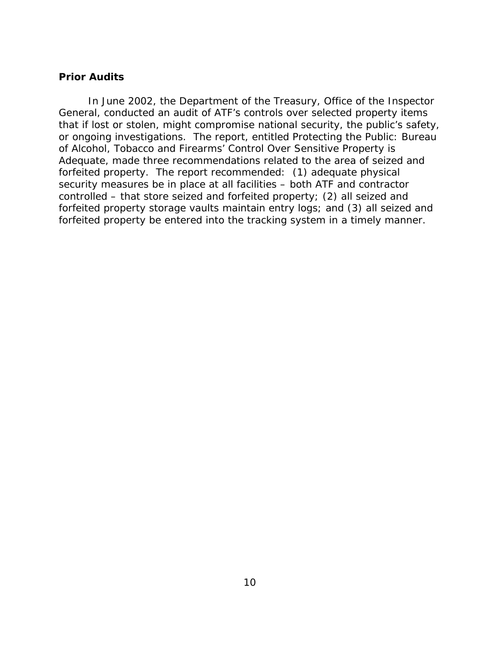### <span id="page-20-0"></span>**Prior Audits**

In June 2002, the Department of the Treasury, Office of the Inspector General, conducted an audit of ATF's controls over selected property items that if lost or stolen, might compromise national security, the public's safety, or ongoing investigations. The report, entitled *Protecting the Public: Bureau of Alcohol, Tobacco and Firearms' Control Over Sensitive Property is Adequate,* made three recommendations related to the area of seized and forfeited property. The report recommended: (1) adequate physical security measures be in place at all facilities – both ATF and contractor controlled – that store seized and forfeited property; (2) all seized and forfeited property storage vaults maintain entry logs; and (3) all seized and forfeited property be entered into the tracking system in a timely manner.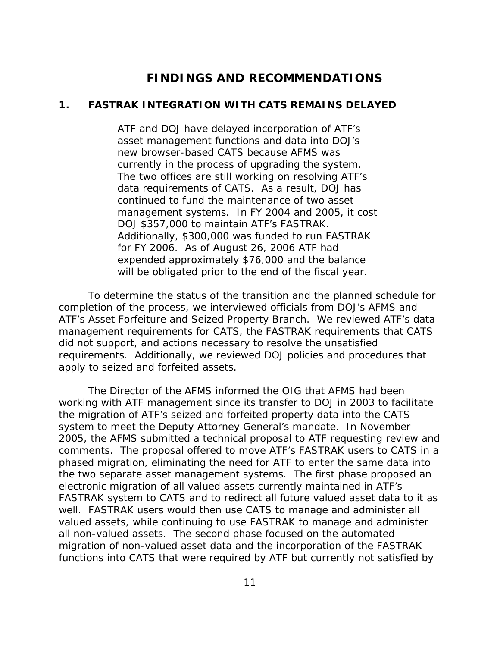# **FINDINGS AND RECOMMENDATIONS**

#### <span id="page-21-0"></span>**1. FASTRAK INTEGRATION WITH CATS REMAINS DELAYED**

ATF and DOJ have delayed incorporation of ATF's asset management functions and data into DOJ's new browser-based CATS because AFMS was currently in the process of upgrading the system. The two offices are still working on resolving ATF's data requirements of CATS. As a result, DOJ has continued to fund the maintenance of two asset management systems. In FY 2004 and 2005, it cost DOJ \$357,000 to maintain ATF's FASTRAK. Additionally, \$300,000 was funded to run FASTRAK for FY 2006. As of August 26, 2006 ATF had expended approximately \$76,000 and the balance will be obligated prior to the end of the fiscal year.

To determine the status of the transition and the planned schedule for completion of the process, we interviewed officials from DOJ's AFMS and ATF's Asset Forfeiture and Seized Property Branch. We reviewed ATF's data management requirements for CATS, the FASTRAK requirements that CATS did not support, and actions necessary to resolve the unsatisfied requirements. Additionally, we reviewed DOJ policies and procedures that apply to seized and forfeited assets.

The Director of the AFMS informed the OIG that AFMS had been working with ATF management since its transfer to DOJ in 2003 to facilitate the migration of ATF's seized and forfeited property data into the CATS system to meet the Deputy Attorney General's mandate. In November 2005, the AFMS submitted a technical proposal to ATF requesting review and comments. The proposal offered to move ATF's FASTRAK users to CATS in a phased migration, eliminating the need for ATF to enter the same data into the two separate asset management systems. The first phase proposed an electronic migration of all valued assets currently maintained in ATF's FASTRAK system to CATS and to redirect all future valued asset data to it as well. FASTRAK users would then use CATS to manage and administer all valued assets, while continuing to use FASTRAK to manage and administer all non-valued assets. The second phase focused on the automated migration of non-valued asset data and the incorporation of the FASTRAK functions into CATS that were required by ATF but currently not satisfied by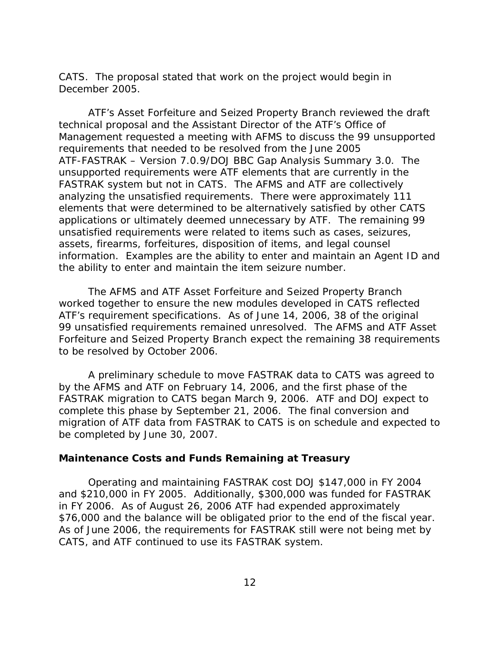<span id="page-22-0"></span>CATS. The proposal stated that work on the project would begin in December 2005.

 ATF's Asset Forfeiture and Seized Property Branch reviewed the draft technical proposal and the Assistant Director of the ATF's Office of Management requested a meeting with AFMS to discuss the 99 unsupported requirements that needed to be resolved from the June 2005 *ATF-FASTRAK – Version 7.0.9/DOJ BBC Gap Analysis Summary 3.0*. The unsupported requirements were ATF elements that are currently in the FASTRAK system but not in CATS. The AFMS and ATF are collectively analyzing the unsatisfied requirements. There were approximately 111 elements that were determined to be alternatively satisfied by other CATS applications or ultimately deemed unnecessary by ATF. The remaining 99 unsatisfied requirements were related to items such as cases, seizures, assets, firearms, forfeitures, disposition of items, and legal counsel information. Examples are the ability to enter and maintain an Agent ID and the ability to enter and maintain the item seizure number.

The AFMS and ATF Asset Forfeiture and Seized Property Branch worked together to ensure the new modules developed in CATS reflected ATF's requirement specifications. As of June 14, 2006, 38 of the original 99 unsatisfied requirements remained unresolved. The AFMS and ATF Asset Forfeiture and Seized Property Branch expect the remaining 38 requirements to be resolved by October 2006.

 A preliminary schedule to move FASTRAK data to CATS was agreed to by the AFMS and ATF on February 14, 2006, and the first phase of the FASTRAK migration to CATS began March 9, 2006. ATF and DOJ expect to complete this phase by September 21, 2006. The final conversion and migration of ATF data from FASTRAK to CATS is on schedule and expected to be completed by June 30, 2007.

### **Maintenance Costs and Funds Remaining at Treasury**

 Operating and maintaining FASTRAK cost DOJ \$147,000 in FY 2004 and \$210,000 in FY 2005. Additionally, \$300,000 was funded for FASTRAK in FY 2006. As of August 26, 2006 ATF had expended approximately \$76,000 and the balance will be obligated prior to the end of the fiscal year. As of June 2006, the requirements for FASTRAK still were not being met by CATS, and ATF continued to use its FASTRAK system.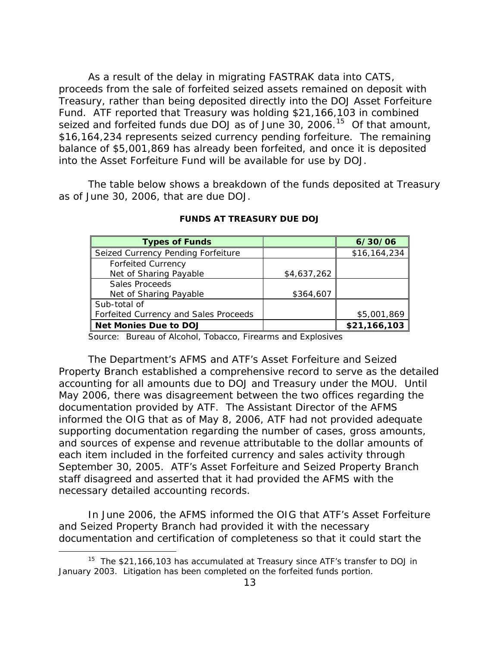As a result of the delay in migrating FASTRAK data into CATS, proceeds from the sale of forfeited seized assets remained on deposit with Treasury, rather than being deposited directly into the DOJ Asset Forfeiture Fund. ATF reported that Treasury was holding \$21,166,103 in combined seized and forfeited funds due DOJ as of June 30, 2006.<sup>[15](#page-23-0)</sup> Of that amount, \$16,164,234 represents seized currency pending forfeiture. The remaining balance of \$5,001,869 has already been forfeited, and once it is deposited into the Asset Forfeiture Fund will be available for use by DOJ.

The table below shows a breakdown of the funds deposited at Treasury as of June 30, 2006, that are due DOJ.

| <b>Types of Funds</b>                 |             | 6/30/06      |
|---------------------------------------|-------------|--------------|
| Seized Currency Pending Forfeiture    |             | \$16,164,234 |
| <b>Forfeited Currency</b>             |             |              |
| Net of Sharing Payable                | \$4,637,262 |              |
| Sales Proceeds                        |             |              |
| Net of Sharing Payable                | \$364,607   |              |
| Sub-total of                          |             |              |
| Forfeited Currency and Sales Proceeds |             | \$5,001,869  |
| <b>Net Monies Due to DOJ</b>          |             | \$21,166,103 |

#### **FUNDS AT TREASURY DUE DOJ**

Source: Bureau of Alcohol, Tobacco, Firearms and Explosives

The Department's AFMS and ATF's Asset Forfeiture and Seized Property Branch established a comprehensive record to serve as the detailed accounting for all amounts due to DOJ and Treasury under the MOU. Until May 2006, there was disagreement between the two offices regarding the documentation provided by ATF. The Assistant Director of the AFMS informed the OIG that as of May 8, 2006, ATF had not provided adequate supporting documentation regarding the number of cases, gross amounts, and sources of expense and revenue attributable to the dollar amounts of each item included in the forfeited currency and sales activity through September 30, 2005. ATF's Asset Forfeiture and Seized Property Branch staff disagreed and asserted that it had provided the AFMS with the necessary detailed accounting records.

In June 2006, the AFMS informed the OIG that ATF's Asset Forfeiture and Seized Property Branch had provided it with the necessary documentation and certification of completeness so that it could start the

<span id="page-23-0"></span><sup>&</sup>lt;sup>15</sup> The \$21,166,103 has accumulated at Treasury since ATF's transfer to DOJ in January 2003. Litigation has been completed on the forfeited funds portion.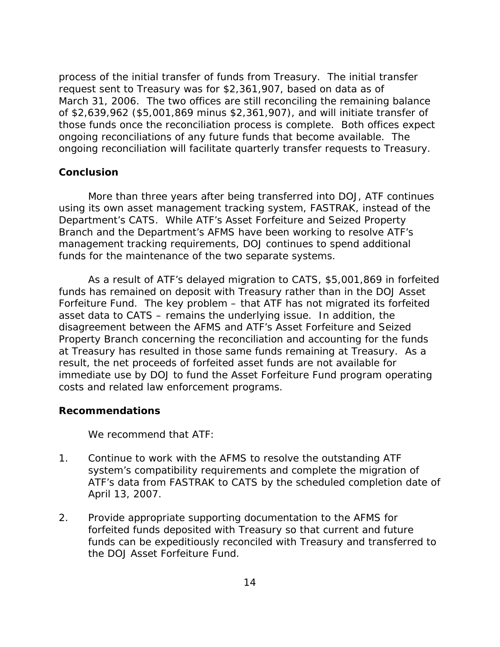<span id="page-24-0"></span>process of the initial transfer of funds from Treasury. The initial transfer request sent to Treasury was for \$2,361,907, based on data as of March 31, 2006. The two offices are still reconciling the remaining balance of \$2,639,962 (\$5,001,869 minus \$2,361,907), and will initiate transfer of those funds once the reconciliation process is complete. Both offices expect ongoing reconciliations of any future funds that become available. The ongoing reconciliation will facilitate quarterly transfer requests to Treasury.

#### **Conclusion**

More than three years after being transferred into DOJ, ATF continues using its own asset management tracking system, FASTRAK, instead of the Department's CATS. While ATF's Asset Forfeiture and Seized Property Branch and the Department's AFMS have been working to resolve ATF's management tracking requirements, DOJ continues to spend additional funds for the maintenance of the two separate systems.

As a result of ATF's delayed migration to CATS, \$5,001,869 in forfeited funds has remained on deposit with Treasury rather than in the DOJ Asset Forfeiture Fund. The key problem – that ATF has not migrated its forfeited asset data to CATS – remains the underlying issue. In addition, the disagreement between the AFMS and ATF's Asset Forfeiture and Seized Property Branch concerning the reconciliation and accounting for the funds at Treasury has resulted in those same funds remaining at Treasury. As a result, the net proceeds of forfeited asset funds are not available for immediate use by DOJ to fund the Asset Forfeiture Fund program operating costs and related law enforcement programs.

#### **Recommendations**

We recommend that ATF:

- 1. Continue to work with the AFMS to resolve the outstanding ATF system's compatibility requirements and complete the migration of ATF's data from FASTRAK to CATS by the scheduled completion date of April 13, 2007.
- 2. Provide appropriate supporting documentation to the AFMS for forfeited funds deposited with Treasury so that current and future funds can be expeditiously reconciled with Treasury and transferred to the DOJ Asset Forfeiture Fund.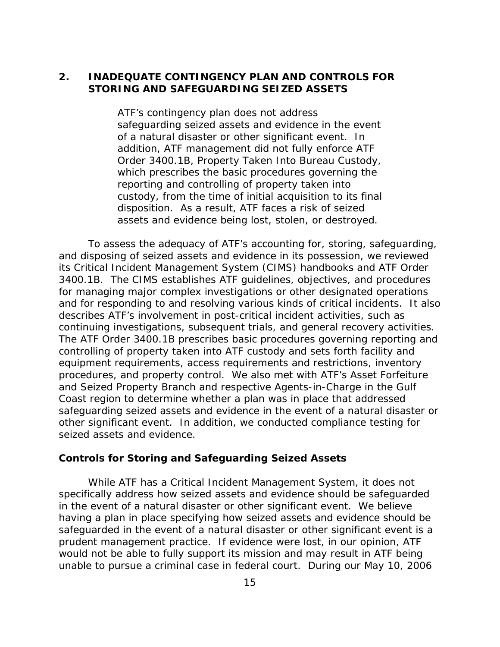# <span id="page-25-0"></span>**2. INADEQUATE CONTINGENCY PLAN AND CONTROLS FOR STORING AND SAFEGUARDING SEIZED ASSETS**

ATF's contingency plan does not address safeguarding seized assets and evidence in the event of a natural disaster or other significant event. In addition, ATF management did not fully enforce ATF Order 3400.1B, *Property Taken Into Bureau Custody,*  which prescribes the basic procedures governing the reporting and controlling of property taken into custody, from the time of initial acquisition to its final disposition. As a result, ATF faces a risk of seized assets and evidence being lost, stolen, or destroyed.

To assess the adequacy of ATF's accounting for, storing, safeguarding, and disposing of seized assets and evidence in its possession, we reviewed its *Critical Incident Management System (CIMS)* handbooks and ATF Order 3400.1B. The *CIMS* establishes ATF guidelines, objectives, and procedures for managing major complex investigations or other designated operations and for responding to and resolving various kinds of critical incidents. It also describes ATF's involvement in post-critical incident activities, such as continuing investigations, subsequent trials, and general recovery activities. The ATF Order 3400.1B prescribes basic procedures governing reporting and controlling of property taken into ATF custody and sets forth facility and equipment requirements, access requirements and restrictions, inventory procedures, and property control. We also met with ATF's Asset Forfeiture and Seized Property Branch and respective Agents-in-Charge in the Gulf Coast region to determine whether a plan was in place that addressed safeguarding seized assets and evidence in the event of a natural disaster or other significant event. In addition, we conducted compliance testing for seized assets and evidence.

#### **Controls for Storing and Safeguarding Seized Assets**

 While ATF has a Critical Incident Management System, it does not specifically address how seized assets and evidence should be safeguarded in the event of a natural disaster or other significant event.We believe having a plan in place specifying how seized assets and evidence should be safeguarded in the event of a natural disaster or other significant event is a prudent management practice. If evidence were lost, in our opinion, ATF would not be able to fully support its mission and may result in ATF being unable to pursue a criminal case in federal court. During our May 10, 2006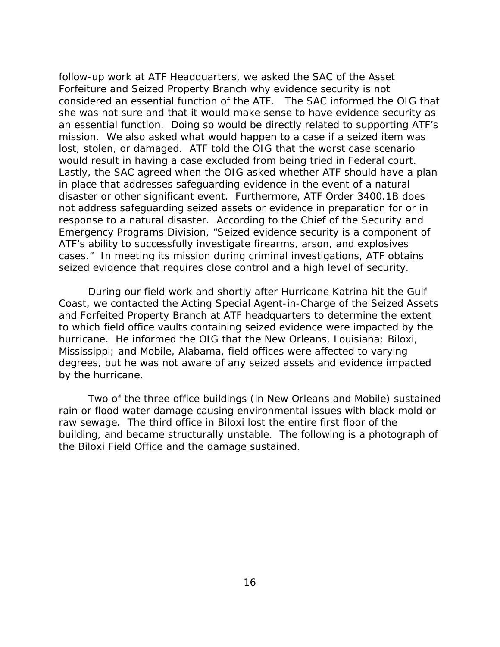follow-up work at ATF Headquarters, we asked the SAC of the Asset Forfeiture and Seized Property Branch why evidence security is not considered an essential function of the ATF. The SAC informed the OIG that she was not sure and that it would make sense to have evidence security as an essential function. Doing so would be directly related to supporting ATF's mission. We also asked what would happen to a case if a seized item was lost, stolen, or damaged. ATF told the OIG that the worst case scenario would result in having a case excluded from being tried in Federal court. Lastly, the SAC agreed when the OIG asked whether ATF should have a plan in place that addresses safeguarding evidence in the event of a natural disaster or other significant event. Furthermore, ATF Order 3400.1B does not address safeguarding seized assets or evidence in preparation for or in response to a natural disaster. According to the Chief of the Security and Emergency Programs Division, "Seized evidence security is a component of ATF's ability to successfully investigate firearms, arson, and explosives cases." In meeting its mission during criminal investigations, ATF obtains seized evidence that requires close control and a high level of security.

During our field work and shortly after Hurricane Katrina hit the Gulf Coast, we contacted the Acting Special Agent-in-Charge of the Seized Assets and Forfeited Property Branch at ATF headquarters to determine the extent to which field office vaults containing seized evidence were impacted by the hurricane. He informed the OIG that the New Orleans, Louisiana; Biloxi, Mississippi; and Mobile, Alabama, field offices were affected to varying degrees, but he was not aware of any seized assets and evidence impacted by the hurricane.

Two of the three office buildings (in New Orleans and Mobile) sustained rain or flood water damage causing environmental issues with black mold or raw sewage. The third office in Biloxi lost the entire first floor of the building, and became structurally unstable. The following is a photograph of the Biloxi Field Office and the damage sustained.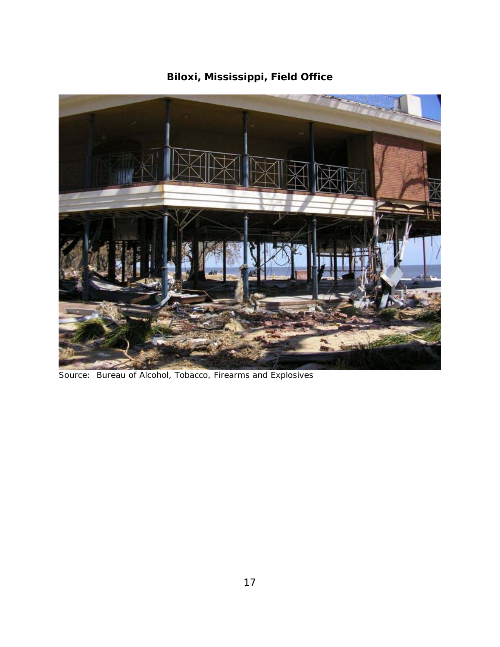

**Biloxi, Mississippi, Field Office** 

Source: Bureau of Alcohol, Tobacco, Firearms and Explosives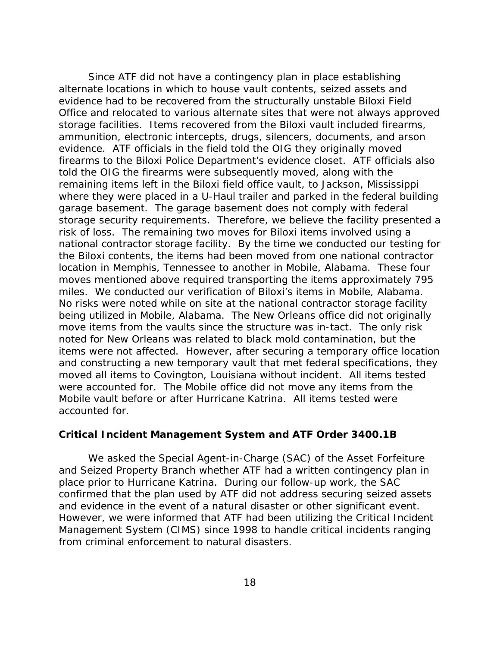<span id="page-28-0"></span>Since ATF did not have a contingency plan in place establishing alternate locations in which to house vault contents, seized assets and evidence had to be recovered from the structurally unstable Biloxi Field Office and relocated to various alternate sites that were not always approved storage facilities. Items recovered from the Biloxi vault included firearms, ammunition, electronic intercepts, drugs, silencers, documents, and arson evidence. ATF officials in the field told the OIG they originally moved firearms to the Biloxi Police Department's evidence closet. ATF officials also told the OIG the firearms were subsequently moved, along with the remaining items left in the Biloxi field office vault, to Jackson, Mississippi where they were placed in a U-Haul trailer and parked in the federal building garage basement. The garage basement does not comply with federal storage security requirements. Therefore, we believe the facility presented a risk of loss. The remaining two moves for Biloxi items involved using a national contractor storage facility. By the time we conducted our testing for the Biloxi contents, the items had been moved from one national contractor location in Memphis, Tennessee to another in Mobile, Alabama. These four moves mentioned above required transporting the items approximately 795 miles. We conducted our verification of Biloxi's items in Mobile, Alabama. No risks were noted while on site at the national contractor storage facility being utilized in Mobile, Alabama.The New Orleans office did not originally move items from the vaults since the structure was in-tact. The only risk noted for New Orleans was related to black mold contamination, but the items were not affected. However, after securing a temporary office location and constructing a new temporary vault that met federal specifications, they moved all items to Covington, Louisiana without incident. All items tested were accounted for. The Mobile office did not move any items from the Mobile vault before or after Hurricane Katrina. All items tested were accounted for.

#### *Critical Incident Management System* **and ATF Order 3400.1B**

We asked the Special Agent-in-Charge (SAC) of the Asset Forfeiture and Seized Property Branch whether ATF had a written contingency plan in place prior to Hurricane Katrina. During our follow-up work, the SAC confirmed that the plan used by ATF did not address securing seized assets and evidence in the event of a natural disaster or other significant event. However, we were informed that ATF had been utilizing the *Critical Incident Management System (CIMS)* since 1998 to handle critical incidents ranging from criminal enforcement to natural disasters.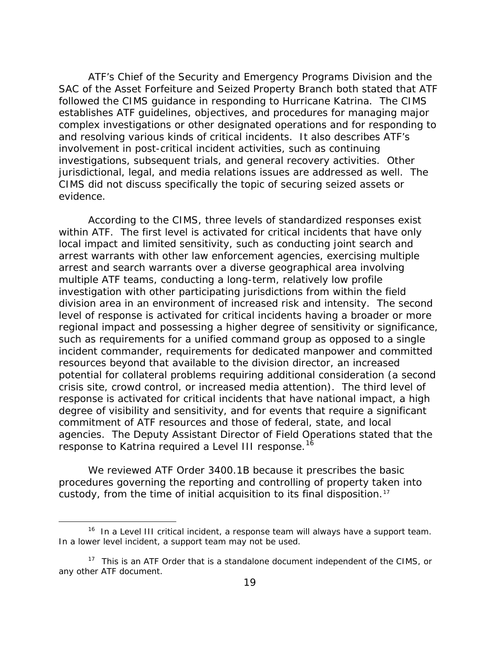ATF's Chief of the Security and Emergency Programs Division and the SAC of the Asset Forfeiture and Seized Property Branch both stated that ATF followed the *CIMS* guidance in responding to Hurricane Katrina. The *CIMS* establishes ATF guidelines, objectives, and procedures for managing major complex investigations or other designated operations and for responding to and resolving various kinds of critical incidents. It also describes ATF's involvement in post-critical incident activities, such as continuing investigations, subsequent trials, and general recovery activities. Other jurisdictional, legal, and media relations issues are addressed as well. The *CIMS* did not discuss specifically the topic of securing seized assets or evidence.

According to the *CIMS*, three levels of standardized responses exist within ATF. The first level is activated for critical incidents that have only local impact and limited sensitivity, such as conducting joint search and arrest warrants with other law enforcement agencies, exercising multiple arrest and search warrants over a diverse geographical area involving multiple ATF teams, conducting a long-term, relatively low profile investigation with other participating jurisdictions from within the field division area in an environment of increased risk and intensity. The second level of response is activated for critical incidents having a broader or more regional impact and possessing a higher degree of sensitivity or significance, such as requirements for a unified command group as opposed to a single incident commander, requirements for dedicated manpower and committed resources beyond that available to the division director, an increased potential for collateral problems requiring additional consideration (a second crisis site, crowd control, or increased media attention). The third level of response is activated for critical incidents that have national impact, a high degree of visibility and sensitivity, and for events that require a significant commitment of ATF resources and those of federal, state, and local agencies. The Deputy Assistant Director of Field Operations stated that the response to Katrina required a Level III response.<sup>[16](#page-29-0)</sup>

 We reviewed ATF Order 3400.1B because it prescribes the basic procedures governing the reporting and controlling of property taken into custody, from the time of initial acquisition to its final disposition.<sup>[17](#page-29-1)</sup>

 $\overline{a}$ 

<span id="page-29-0"></span> $16$  In a Level III critical incident, a response team will always have a support team. In a lower level incident, a support team may not be used.

<span id="page-29-1"></span> $17$  This is an ATF Order that is a standalone document independent of the CIMS, or any other ATF document.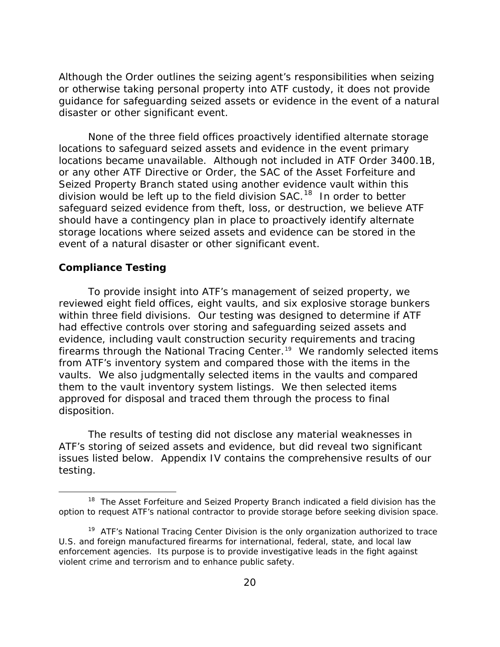<span id="page-30-0"></span>Although the Order outlines the seizing agent's responsibilities when seizing or otherwise taking personal property into ATF custody, it does not provide guidance for safeguarding seized assets or evidence in the event of a natural disaster or other significant event.

None of the three field offices proactively identified alternate storage locations to safeguard seized assets and evidence in the event primary locations became unavailable. Although not included in ATF Order 3400.1B, or any other ATF Directive or Order, the SAC of the Asset Forfeiture and Seized Property Branch stated using another evidence vault within this division would be left up to the field division SAC.<sup>18</sup> In order to better safeguard seized evidence from theft, loss, or destruction, we believe ATF should have a contingency plan in place to proactively identify alternate storage locations where seized assets and evidence can be stored in the event of a natural disaster or other significant event.

#### **Compliance Testing**

 $\overline{a}$ 

To provide insight into ATF's management of seized property, we reviewed eight field offices, eight vaults, and six explosive storage bunkers within three field divisions. Our testing was designed to determine if ATF had effective controls over storing and safeguarding seized assets and evidence, including vault construction security requirements and tracing firearms through the National Tracing Center.<sup>[19](#page-30-2)</sup> We randomly selected items from ATF's inventory system and compared those with the items in the vaults. We also judgmentally selected items in the vaults and compared them to the vault inventory system listings. We then selected items approved for disposal and traced them through the process to final disposition.

The results of testing did not disclose any material weaknesses in ATF's storing of seized assets and evidence, but did reveal two significant issues listed below. Appendix IV contains the comprehensive results of our testing.

<span id="page-30-1"></span><sup>&</sup>lt;sup>18</sup> The Asset Forfeiture and Seized Property Branch indicated a field division has the option to request ATF's national contractor to provide storage before seeking division space.

<span id="page-30-2"></span><sup>&</sup>lt;sup>19</sup> ATF's National Tracing Center Division is the only organization authorized to trace U.S. and foreign manufactured firearms for international, federal, state, and local law enforcement agencies. Its purpose is to provide investigative leads in the fight against violent crime and terrorism and to enhance public safety.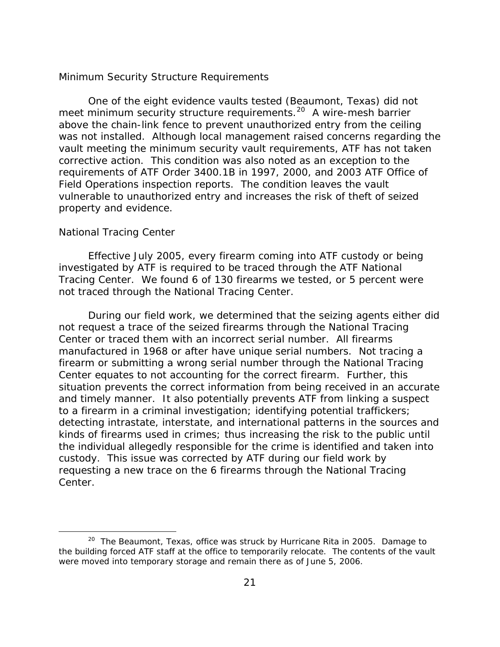#### *Minimum Security Structure Requirements*

 One of the eight evidence vaults tested (Beaumont, Texas) did not meet minimum security structure requirements.<sup>[20](#page-31-0)</sup> A wire-mesh barrier above the chain-link fence to prevent unauthorized entry from the ceiling was not installed. Although local management raised concerns regarding the vault meeting the minimum security vault requirements, ATF has not taken corrective action. This condition was also noted as an exception to the requirements of ATF Order 3400.1B in 1997, 2000, and 2003 ATF Office of Field Operations inspection reports. The condition leaves the vault vulnerable to unauthorized entry and increases the risk of theft of seized property and evidence.

#### *National Tracing Center*

 $\overline{a}$ 

Effective July 2005, every firearm coming into ATF custody or being investigated by ATF is required to be traced through the ATF National Tracing Center. We found 6 of 130 firearms we tested, or 5 percent were not traced through the National Tracing Center.

During our field work, we determined that the seizing agents either did not request a trace of the seized firearms through the National Tracing Center or traced them with an incorrect serial number. All firearms manufactured in 1968 or after have unique serial numbers. Not tracing a firearm or submitting a wrong serial number through the National Tracing Center equates to not accounting for the correct firearm. Further, this situation prevents the correct information from being received in an accurate and timely manner. It also potentially prevents ATF from linking a suspect to a firearm in a criminal investigation; identifying potential traffickers; detecting intrastate, interstate, and international patterns in the sources and kinds of firearms used in crimes; thus increasing the risk to the public until the individual allegedly responsible for the crime is identified and taken into custody. This issue was corrected by ATF during our field work by requesting a new trace on the 6 firearms through the National Tracing Center.

<span id="page-31-0"></span><sup>&</sup>lt;sup>20</sup> The Beaumont, Texas, office was struck by Hurricane Rita in 2005. Damage to the building forced ATF staff at the office to temporarily relocate. The contents of the vault were moved into temporary storage and remain there as of June 5, 2006.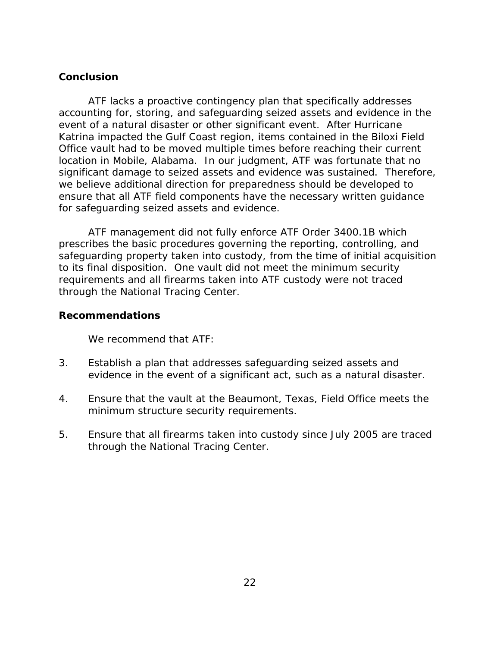# <span id="page-32-0"></span>**Conclusion**

ATF lacks a proactive contingency plan that specifically addresses accounting for, storing, and safeguarding seized assets and evidence in the event of a natural disaster or other significant event. After Hurricane Katrina impacted the Gulf Coast region, items contained in the Biloxi Field Office vault had to be moved multiple times before reaching their current location in Mobile, Alabama. In our judgment, ATF was fortunate that no significant damage to seized assets and evidence was sustained. Therefore, we believe additional direction for preparedness should be developed to ensure that all ATF field components have the necessary written guidance for safeguarding seized assets and evidence.

 ATF management did not fully enforce ATF Order 3400.1B which prescribes the basic procedures governing the reporting, controlling, and safeguarding property taken into custody, from the time of initial acquisition to its final disposition. One vault did not meet the minimum security requirements and all firearms taken into ATF custody were not traced through the National Tracing Center.

### **Recommendations**

We recommend that ATF:

- 3. Establish a plan that addresses safeguarding seized assets and evidence in the event of a significant act, such as a natural disaster.
- 4. Ensure that the vault at the Beaumont, Texas, Field Office meets the minimum structure security requirements.
- 5. Ensure that all firearms taken into custody since July 2005 are traced through the National Tracing Center.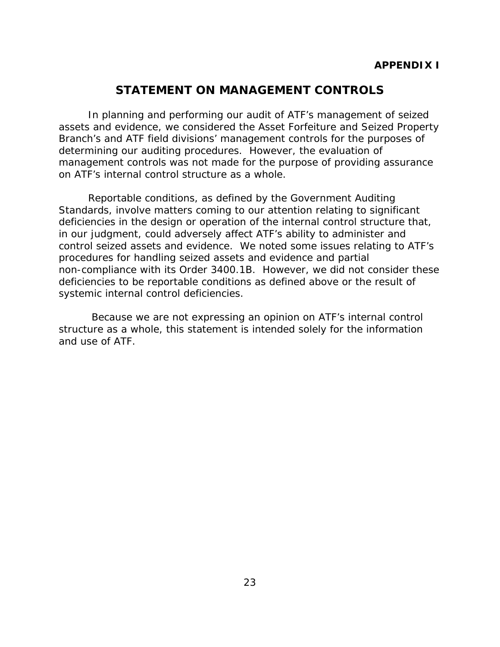# **STATEMENT ON MANAGEMENT CONTROLS**

In planning and performing our audit of ATF's management of seized assets and evidence, we considered the Asset Forfeiture and Seized Property Branch's and ATF field divisions' management controls for the purposes of determining our auditing procedures. However, the evaluation of management controls was not made for the purpose of providing assurance on ATF's internal control structure as a whole.

Reportable conditions, as defined by the *Government Auditing Standards*, involve matters coming to our attention relating to significant deficiencies in the design or operation of the internal control structure that, in our judgment, could adversely affect ATF's ability to administer and control seized assets and evidence. We noted some issues relating to ATF's procedures for handling seized assets and evidence and partial non-compliance with its Order 3400.1B. However, we did not consider these deficiencies to be reportable conditions as defined above or the result of systemic internal control deficiencies.

 Because we are not expressing an opinion on ATF's internal control structure as a whole, this statement is intended solely for the information and use of ATF.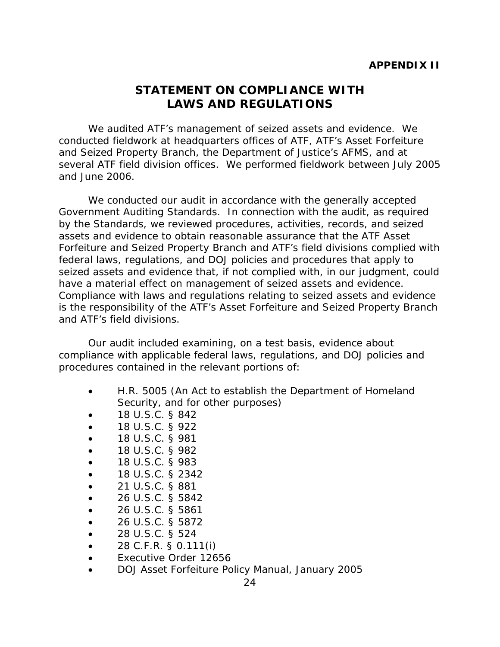# **STATEMENT ON COMPLIANCE WITH LAWS AND REGULATIONS**

We audited ATF's management of seized assets and evidence. We conducted fieldwork at headquarters offices of ATF, ATF's Asset Forfeiture and Seized Property Branch, the Department of Justice's AFMS, and at several ATF field division offices. We performed fieldwork between July 2005 and June 2006.

We conducted our audit in accordance with the generally accepted *Government Auditing Standards*. In connection with the audit, as required by the *Standards*, we reviewed procedures, activities, records, and seized assets and evidence to obtain reasonable assurance that the ATF Asset Forfeiture and Seized Property Branch and ATF's field divisions complied with federal laws, regulations, and DOJ policies and procedures that apply to seized assets and evidence that, if not complied with, in our judgment, could have a material effect on management of seized assets and evidence. Compliance with laws and regulations relating to seized assets and evidence is the responsibility of the ATF's Asset Forfeiture and Seized Property Branch and ATF's field divisions.

Our audit included examining, on a test basis, evidence about compliance with applicable federal laws, regulations, and DOJ policies and procedures contained in the relevant portions of:

- H.R. 5005 (An Act to establish the Department of Homeland Security*,* and for other purposes)
- 18 U.S.C. § 842
- 18 U.S.C. § 922
- 18 U.S.C. § 981
- 18 U.S.C. § 982
- 18 U.S.C. § 983
- 18 U.S.C. § 2342
- 21 U.S.C. § 881
- 26 U.S.C. § 5842
- 26 U.S.C. § 5861
- 26 U.S.C. § 5872
- 28 U.S.C. § 524
- 28 C.F.R. § 0.111(i)
- Executive Order 12656
- DOJ Asset Forfeiture Policy Manual, January 2005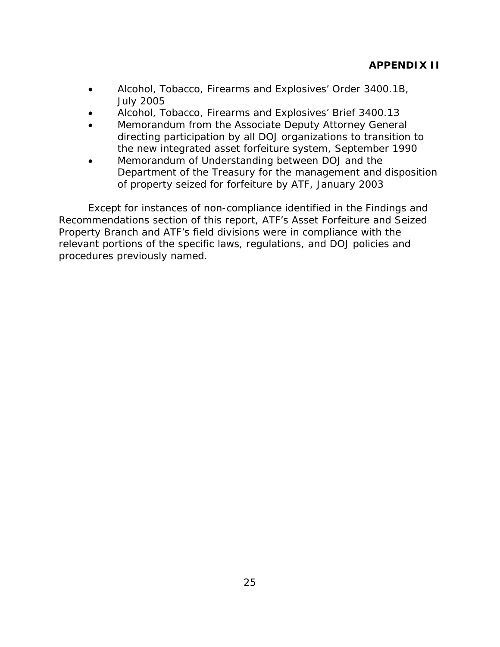- Alcohol, Tobacco, Firearms and Explosives' Order 3400.1B, July 2005
- Alcohol, Tobacco, Firearms and Explosives' Brief 3400.13
- Memorandum from the Associate Deputy Attorney General directing participation by all DOJ organizations to transition to the new integrated asset forfeiture system, September 1990
- Memorandum of Understanding between DOJ and the Department of the Treasury for the management and disposition of property seized for forfeiture by ATF, January 2003

Except for instances of non-compliance identified in the Findings and Recommendations section of this report, ATF's Asset Forfeiture and Seized Property Branch and ATF's field divisions were in compliance with the relevant portions of the specific laws, regulations, and DOJ policies and procedures previously named.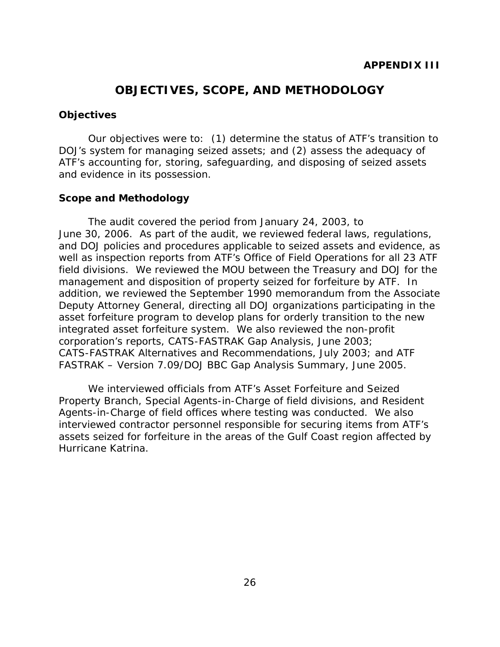# **OBJECTIVES, SCOPE, AND METHODOLOGY**

#### **Objectives**

Our objectives were to: (1) determine the status of ATF's transition to DOJ's system for managing seized assets; and (2) assess the adequacy of ATF's accounting for, storing, safeguarding, and disposing of seized assets and evidence in its possession.

#### **Scope and Methodology**

The audit covered the period from January 24, 2003, to June 30, 2006. As part of the audit, we reviewed federal laws, regulations, and DOJ policies and procedures applicable to seized assets and evidence, as well as inspection reports from ATF's Office of Field Operations for all 23 ATF field divisions. We reviewed the MOU between the Treasury and DOJ for the management and disposition of property seized for forfeiture by ATF. In addition, we reviewed the September 1990 memorandum from the Associate Deputy Attorney General, directing all DOJ organizations participating in the asset forfeiture program to develop plans for orderly transition to the new integrated asset forfeiture system. We also reviewed the non-profit corporation's reports, *CATS-FASTRAK Gap Analysis*, June 2003; *CATS-FASTRAK Alternatives and Recommendations*, July 2003; and *ATF FASTRAK – Version 7.09/DOJ BBC Gap Analysis Summary*, June 2005.

We interviewed officials from ATF's Asset Forfeiture and Seized Property Branch, Special Agents-in-Charge of field divisions, and Resident Agents-in-Charge of field offices where testing was conducted. We also interviewed contractor personnel responsible for securing items from ATF's assets seized for forfeiture in the areas of the Gulf Coast region affected by Hurricane Katrina.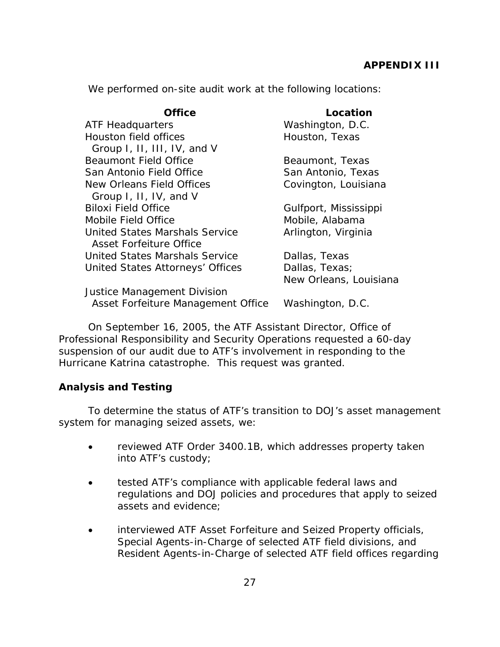# **APPENDIX III**

Louisiana

We performed on-site audit work at the following locations:

#### **Office Location**

| <b>ATF Headquarters</b>          | Washington, D.C.      |
|----------------------------------|-----------------------|
| Houston field offices            | Houston, Texas        |
| Group I, II, III, IV, and V      |                       |
| <b>Beaumont Field Office</b>     | Beaumont, Texas       |
| San Antonio Field Office         | San Antonio, Texas    |
| New Orleans Field Offices        | Covington, Louisiana  |
| Group I, II, IV, and V           |                       |
| <b>Biloxi Field Office</b>       | Gulfport, Mississippi |
| Mobile Field Office              | Mobile, Alabama       |
| United States Marshals Service   | Arlington, Virginia   |
| Asset Forfeiture Office          |                       |
| United States Marshals Service   | Dallas, Texas         |
| United States Attorneys' Offices | Dallas, Texas;        |
|                                  | New Orleans, Louisia  |
|                                  |                       |

Justice Management Division Asset Forfeiture Management Office Washington, D.C.

On September 16, 2005, the ATF Assistant Director, Office of Professional Responsibility and Security Operations requested a 60-day suspension of our audit due to ATF's involvement in responding to the Hurricane Katrina catastrophe. This request was granted.

# **Analysis and Testing**

To determine the status of ATF's transition to DOJ's asset management system for managing seized assets, we:

- reviewed ATF Order 3400.1B, which addresses property taken into ATF's custody;
- tested ATF's compliance with applicable federal laws and regulations and DOJ policies and procedures that apply to seized assets and evidence;
- interviewed ATF Asset Forfeiture and Seized Property officials, Special Agents-in-Charge of selected ATF field divisions, and Resident Agents-in-Charge of selected ATF field offices regarding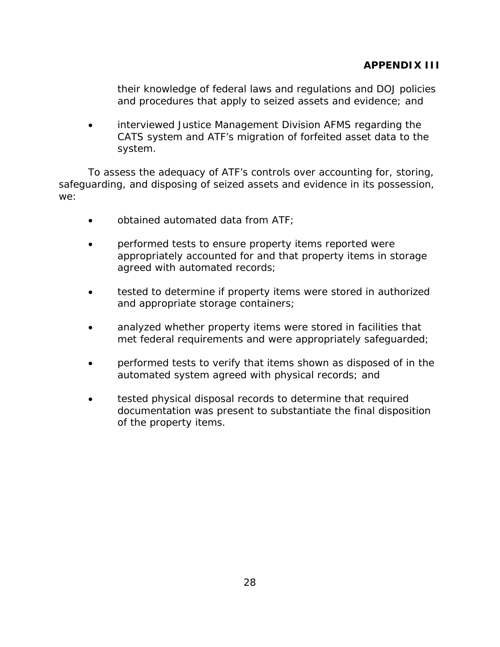their knowledge of federal laws and regulations and DOJ policies and procedures that apply to seized assets and evidence; and

• interviewed Justice Management Division AFMS regarding the CATS system and ATF's migration of forfeited asset data to the system.

To assess the adequacy of ATF's controls over accounting for, storing, safeguarding, and disposing of seized assets and evidence in its possession, we:

- obtained automated data from ATF;
- performed tests to ensure property items reported were appropriately accounted for and that property items in storage agreed with automated records;
- tested to determine if property items were stored in authorized and appropriate storage containers;
- analyzed whether property items were stored in facilities that met federal requirements and were appropriately safeguarded;
- performed tests to verify that items shown as disposed of in the automated system agreed with physical records; and
- tested physical disposal records to determine that required documentation was present to substantiate the final disposition of the property items.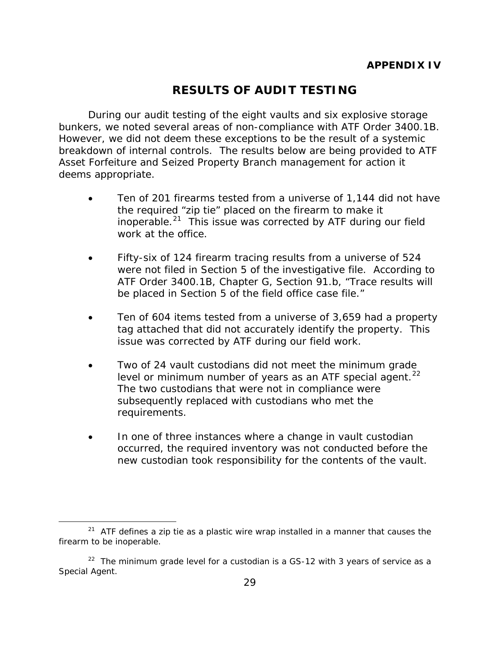# **RESULTS OF AUDIT TESTING**

During our audit testing of the eight vaults and six explosive storage bunkers, we noted several areas of non-compliance with ATF Order 3400.1B. However, we did not deem these exceptions to be the result of a systemic breakdown of internal controls. The results below are being provided to ATF Asset Forfeiture and Seized Property Branch management for action it deems appropriate.

- Ten of 201 firearms tested from a universe of 1,144 did not have the required "zip tie" placed on the firearm to make it inoperable.[21](#page-39-0) This issue was corrected by ATF during our field work at the office.
- Fifty-six of 124 firearm tracing results from a universe of 524 were not filed in Section 5 of the investigative file. According to ATF Order 3400.1B, Chapter G, Section 91.b, "Trace results will be placed in Section 5 of the field office case file."
- Ten of 604 items tested from a universe of 3,659 had a property tag attached that did not accurately identify the property. This issue was corrected by ATF during our field work.
- Two of 24 vault custodians did not meet the minimum grade level or minimum number of years as an ATF special agent.<sup>[22](#page-39-1)</sup> The two custodians that were not in compliance were subsequently replaced with custodians who met the requirements.
- In one of three instances where a change in vault custodian occurred, the required inventory was not conducted before the new custodian took responsibility for the contents of the vault.

 $\overline{a}$ 

<span id="page-39-0"></span> $21$  ATF defines a zip tie as a plastic wire wrap installed in a manner that causes the firearm to be inoperable.

<span id="page-39-1"></span> $22$  The minimum grade level for a custodian is a GS-12 with 3 years of service as a Special Agent.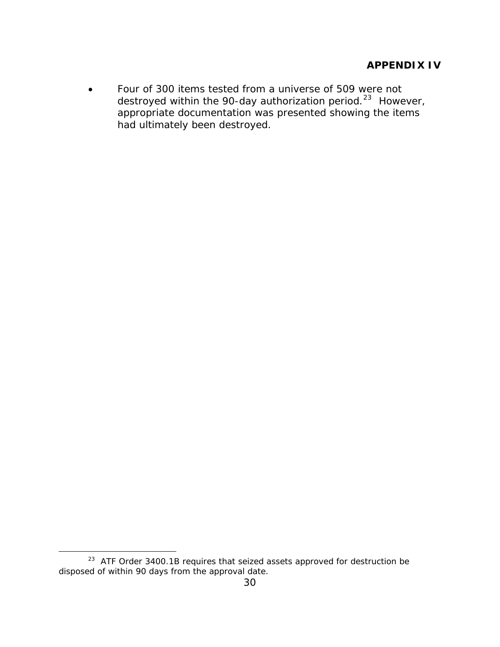• Four of 300 items tested from a universe of 509 were not destroyed within the 90-day authorization period.<sup>[23](#page-40-0)</sup> However, appropriate documentation was presented showing the items had ultimately been destroyed.

 $\overline{a}$ 

<span id="page-40-0"></span> $23$  ATF Order 3400.1B requires that seized assets approved for destruction be disposed of within 90 days from the approval date.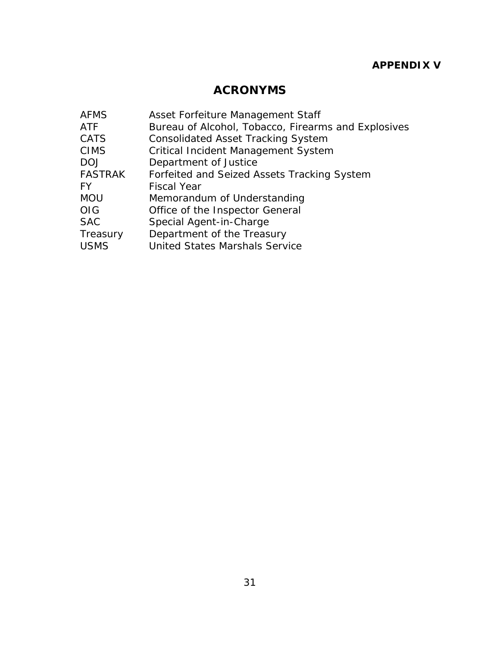# **ACRONYMS**

| <b>AFMS</b>    | Asset Forfeiture Management Staff                   |
|----------------|-----------------------------------------------------|
| <b>ATF</b>     | Bureau of Alcohol, Tobacco, Firearms and Explosives |
| <b>CATS</b>    | <b>Consolidated Asset Tracking System</b>           |
| <b>CIMS</b>    | <b>Critical Incident Management System</b>          |
| <b>DOJ</b>     | Department of Justice                               |
| <b>FASTRAK</b> | Forfeited and Seized Assets Tracking System         |
| FY.            | <b>Fiscal Year</b>                                  |
| <b>MOU</b>     | Memorandum of Understanding                         |
| <b>OIG</b>     | Office of the Inspector General                     |
| <b>SAC</b>     | Special Agent-in-Charge                             |
| Treasury       | Department of the Treasury                          |
| <b>USMS</b>    | <b>United States Marshals Service</b>               |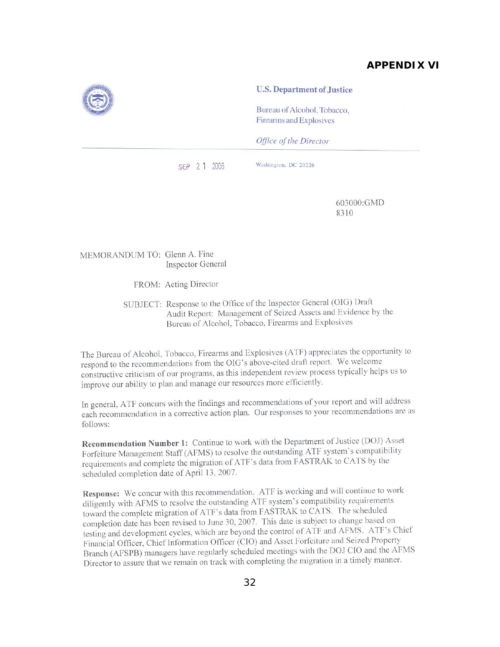# **APPENDIX VI**



Bureau of Alcohol, Tobacco, Firearms and Explosives

Office of the Director

SEP 2 1 2006

Washington, DC 20226

603000:GMD 8310

MEMORANDUM TO: Glenn A. Fine **Inspector General** 

FROM: Acting Director

SUBJECT: Response to the Office of the Inspector General (OIG) Draft Audit Report: Management of Seized Assets and Evidence by the Bureau of Alcohol, Tobacco, Firearms and Explosives

The Bureau of Alcohol, Tobacco, Firearms and Explosives (ATF) appreciates the opportunity to respond to the recommendations from the OIG's above-cited draft report. We welcome constructive criticism of our programs, as this independent review process typically helps us to improve our ability to plan and manage our resources more efficiently.

In general, ATF concurs with the findings and recommendations of your report and will address each recommendation in a corrective action plan. Our responses to your recommendations are as follows:

Recommendation Number 1: Continue to work with the Department of Justice (DOJ) Asset Forfeiture Management Staff (AFMS) to resolve the outstanding ATF system's compatibility requirements and complete the migration of ATF's data from FASTRAK to CATS by the scheduled completion date of April 13, 2007.

Response: We concur with this recommendation. ATF is working and will continue to work diligently with AFMS to resolve the outstanding ATF system's compatibility requirements toward the complete migration of ATF's data from FASTRAK to CATS. The scheduled completion date has been revised to June 30, 2007. This date is subject to change based on testing and development cycles, which are beyond the control of ATF and AFMS. ATF's Chief Financial Officer, Chief Information Officer (CIO) and Asset Forfeiture and Seized Property Branch (AFSPB) managers have regularly scheduled meetings with the DOJ CIO and the AFMS Director to assure that we remain on track with completing the migration in a timely manner.

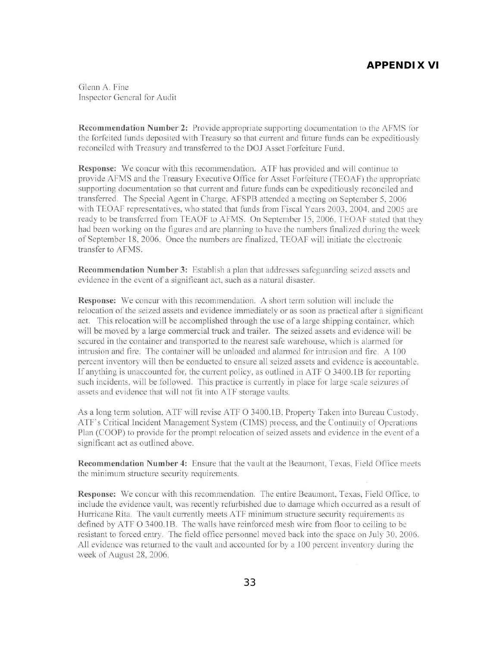## **APPENDIX VI**

Glenn A. Fine Inspector General for Audit

**Recommendation Number 2:** Provide appropriate supporting documentation to the AFMS for the forfeited funds deposited with Treasury so that current and future funds can be expeditiously reconciled with Treasury and transferred to the DOJ Asset Forfeiture Fund.

**Response:** We concur with this recommendation. ATF has provided and will continue to provide AFMS and the Treasury Executive Office for Asset Forfeiture (TEOAF) the appropriate supporting documentation so that current and future funds can be expeditiously reconciled and transferred. The Special Agent in Charge, AFSPB attended a meeting on September 5, 2006 with TEOAF representatives, who stated that funds from Fiscal Years 2003, 2004, and 2005 are ready to be transferred from TEAOF to AFMS. On September 15, 2006, TEOAF stated that they had been working on the figures and are planning to have the numbers finalized during the week of September 18, 2006. Once the numbers are finalized, TEOAF will initiate the electronic transfer to AFMS.

**Recommendation Number 3:** Establish a plan that addresses safeguarding seized assets and evidence in the event of a significant act, such as a natural disaster.

**Response:** We concur with this recommendation. A short term solution will include the relocation of the seized assets and evidence immediately or as soon as practical after a significant act. This relocation will be accomplished through the use of a large shipping container, which will be moved by a large commercial truck and trailer. The seized assets and evidence will be secured in the container and transported to the nearest safe warehouse, which is alarmed for intrusion and fire. The container will be unloaded and alarmed for intrusion and fire. A 100 percent inventory will then be conducted to ensure all seized assets and evidence is accountable. If anything is unaccounted for, the current policy, as outlined in ATF O 3400.1B for reporting such incidents, will be followed. This practice is currently in place for large scale seizures of assets and evidence that will not fit into ATF storage vaults.

As a long term solution, ATF will revise ATF O 3400.1B, Property Taken into Bureau Custody, ATF's Critical Incident Management System (CIMS) process, and the Continuity of Operations Plan (COOP) to provide for the prompt relocation of seized assets and evidence in the event of a significant act as outlined above.

**Recommendation Number 4:** Ensure that the vault at the Beaumont, Texas, Field Office meets the minimum structure security requirements.

**Response:** We concur with this recommendation. The entire Beaumont, Texas, Field Office, to include the evidence vault, was recently refurbished due to damage which occurred as a result of Hurricane Rita. The vault currently meets ATF minimum structure security requirements as defined by ATF O 3400.1B. The walls have reinforced mesh wire from floor to ceiling to be resistant to forced entry. The field office personnel moved back into the space on July 30, 2006. All evidence was returned to the vault and accounted for by a 100 percent inventory during the week of August 28, 2006.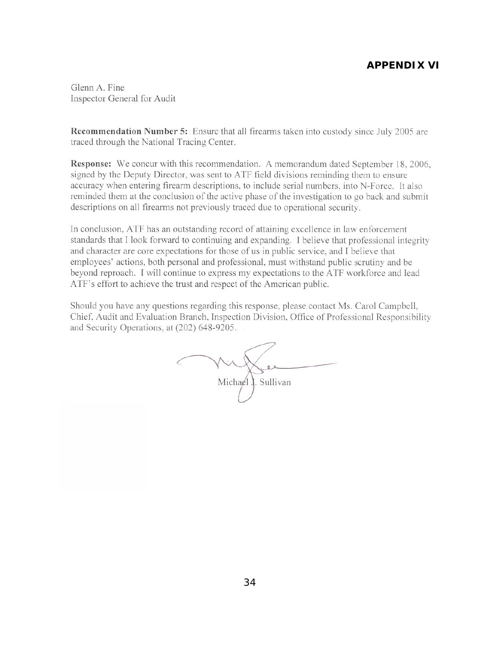# **APPENDIX VI**

Glenn A. Fine Inspector General for Audit

Recommendation Number 5: Ensure that all firearms taken into custody since July 2005 are traced through the National Tracing Center.

Response: We concur with this recommendation. A memorandum dated September 18, 2006, signed by the Deputy Director, was sent to ATF field divisions reminding them to ensure accuracy when entering firearm descriptions, to include serial numbers, into N-Force. It also reminded them at the conclusion of the active phase of the investigation to go back and submit descriptions on all firearms not previously traced due to operational security.

In conclusion, ATF has an outstanding record of attaining excellence in law enforcement standards that I look forward to continuing and expanding. I believe that professional integrity and character are core expectations for those of us in public service, and I believe that employees' actions, both personal and professional, must withstand public scrutiny and be beyond reproach. I will continue to express my expectations to the ATF workforce and lead ATF's effort to achieve the trust and respect of the American public.

Should you have any questions regarding this response, please contact Ms. Carol Campbell, Chief, Audit and Evaluation Branch, Inspection Division, Office of Professional Responsibility and Security Operations, at (202) 648-9205.

 $02$ Michael J. Sullivan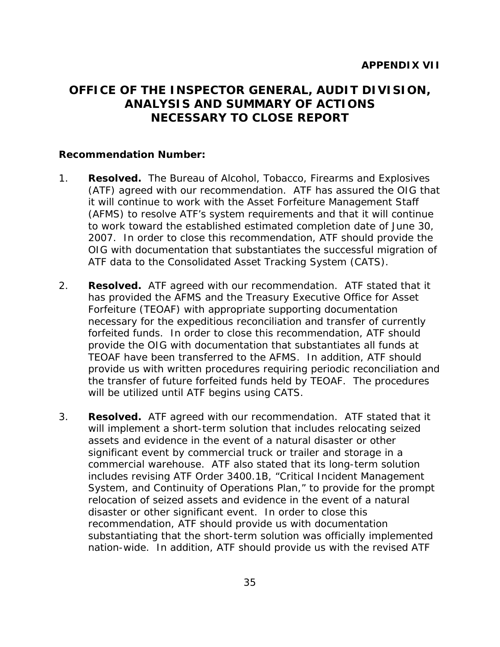# **OFFICE OF THE INSPECTOR GENERAL, AUDIT DIVISION, ANALYSIS AND SUMMARY OF ACTIONS NECESSARY TO CLOSE REPORT**

#### **Recommendation Number:**

- 1. **Resolved.** The Bureau of Alcohol, Tobacco, Firearms and Explosives (ATF) agreed with our recommendation. ATF has assured the OIG that it will continue to work with the Asset Forfeiture Management Staff (AFMS) to resolve ATF's system requirements and that it will continue to work toward the established estimated completion date of June 30, 2007. In order to close this recommendation, ATF should provide the OIG with documentation that substantiates the successful migration of ATF data to the Consolidated Asset Tracking System (CATS).
- 2. **Resolved.** ATF agreed with our recommendation. ATF stated that it has provided the AFMS and the Treasury Executive Office for Asset Forfeiture (TEOAF) with appropriate supporting documentation necessary for the expeditious reconciliation and transfer of currently forfeited funds. In order to close this recommendation, ATF should provide the OIG with documentation that substantiates all funds at TEOAF have been transferred to the AFMS. In addition, ATF should provide us with written procedures requiring periodic reconciliation and the transfer of future forfeited funds held by TEOAF. The procedures will be utilized until ATF begins using CATS.
- 3. **Resolved.** ATF agreed with our recommendation. ATF stated that it will implement a short-term solution that includes relocating seized assets and evidence in the event of a natural disaster or other significant event by commercial truck or trailer and storage in a commercial warehouse. ATF also stated that its long-term solution includes revising ATF Order 3400.1B, "Critical Incident Management System, and Continuity of Operations Plan," to provide for the prompt relocation of seized assets and evidence in the event of a natural disaster or other significant event. In order to close this recommendation, ATF should provide us with documentation substantiating that the short-term solution was officially implemented nation-wide. In addition, ATF should provide us with the revised ATF